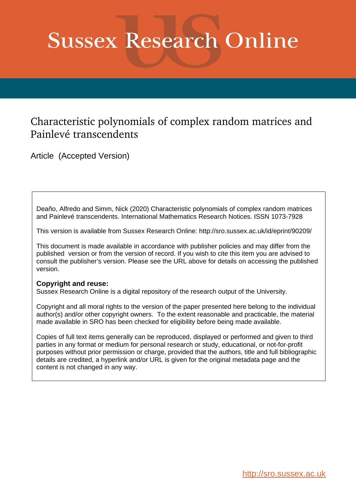# **Sussex Research Online**

## Characteristic polynomials of complex random matrices and Painlevé transcendents

Article (Accepted Version)

Deaño, Alfredo and Simm, Nick (2020) Characteristic polynomials of complex random matrices and Painlevé transcendents. International Mathematics Research Notices. ISSN 1073-7928

This version is available from Sussex Research Online: http://sro.sussex.ac.uk/id/eprint/90209/

This document is made available in accordance with publisher policies and may differ from the published version or from the version of record. If you wish to cite this item you are advised to consult the publisher's version. Please see the URL above for details on accessing the published version.

## **Copyright and reuse:**

Sussex Research Online is a digital repository of the research output of the University.

Copyright and all moral rights to the version of the paper presented here belong to the individual author(s) and/or other copyright owners. To the extent reasonable and practicable, the material made available in SRO has been checked for eligibility before being made available.

Copies of full text items generally can be reproduced, displayed or performed and given to third parties in any format or medium for personal research or study, educational, or not-for-profit purposes without prior permission or charge, provided that the authors, title and full bibliographic details are credited, a hyperlink and/or URL is given for the original metadata page and the content is not changed in any way.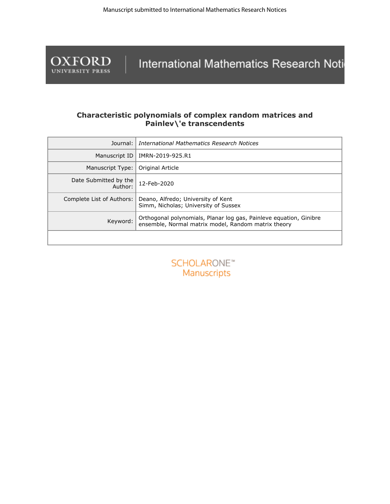

International Mathematics Research Noti

## **Characteristic polynomials of complex random matrices and Painlev\'e transcendents**

| Journal:                         | International Mathematics Research Notices                                                                                |  |  |
|----------------------------------|---------------------------------------------------------------------------------------------------------------------------|--|--|
| Manuscript ID                    | IMRN-2019-925.R1                                                                                                          |  |  |
| Manuscript Type:                 | Original Article                                                                                                          |  |  |
| Date Submitted by the<br>Author: | 12-Feb-2020                                                                                                               |  |  |
| Complete List of Authors:        | Deano, Alfredo; University of Kent<br>Simm, Nicholas; University of Sussex                                                |  |  |
| Keyword:                         | Orthogonal polynomials, Planar log gas, Painleve equation, Ginibre<br>ensemble, Normal matrix model, Random matrix theory |  |  |
|                                  |                                                                                                                           |  |  |

**SCHOLARONE™** Manuscripts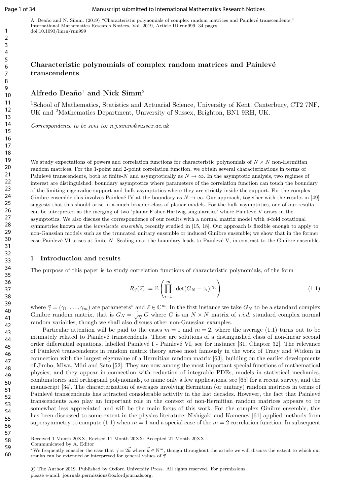#### Page 1 of 34 Manuscript submitted to International Mathematics Research Notices

A. Deaño and N. Simm. (2019) "Characteristic polynomials of complex random matrices and Painlevé transcendents," International Mathematics Research Notices, Vol. 2019, Article ID rnn999, 34 pages. doi:10.1093/imrn/rnn999

## Characteristic polynomials of complex random matrices and Painlevé transcendents

Alfredo Deaño<sup>1</sup> and Nick Simm<sup>2</sup>

<sup>1</sup>School of Mathematics, Statistics and Actuarial Science, University of Kent, Canterbury, CT2 7NF, UK and <sup>2</sup>Mathematics Department, University of Sussex, Brighton, BN1 9RH, UK.

Correspondence to be sent to: n.j.simm@sussex.ac.uk

We study expectations of powers and correlation functions for characteristic polynomials of  $N \times N$  non-Hermitian random matrices. For the 1-point and 2-point correlation function, we obtain several characterizations in terms of Painlevé transcendents, both at finite-N and asymptotically as  $N \to \infty$ . In the asymptotic analysis, two regimes of interest are distinguished: boundary asymptotics where parameters of the correlation function can touch the boundary of the limiting eigenvalue support and bulk asymptotics where they are strictly inside the support. For the complex Ginibre ensemble this involves Painlevé IV at the boundary as  $N \to \infty$ . Our approach, together with the results in [49] suggests that this should arise in a much broader class of planar models. For the bulk asymptotics, one of our results can be interpreted as the merging of two 'planar Fisher-Hartwig singularities' where Painlevé V arises in the asymptotics. We also discuss the correspondence of our results with a normal matrix model with d-fold rotational symmetries known as the *lemniscate ensemble*, recently studied in [15, 18]. Our approach is flexible enough to apply to non-Gaussian models such as the truncated unitary ensemble or induced Ginibre ensemble; we show that in the former case Painlevé VI arises at finite-N. Scaling near the boundary leads to Painlevé V, in contrast to the Ginibre ensemble.

#### 1 Introduction and results

The purpose of this paper is to study correlation functions of characteristic polynomials, of the form

$$
R_{\vec{\gamma}}(\vec{z}) := \mathbb{E}\left(\prod_{i=1}^{m} |\det(G_N - z_i)|^{\gamma_i}\right)
$$
\n(1.1)

where  $\vec{\gamma} = (\gamma_1, \dots, \gamma_m)$  are parameters<sup>\*</sup> and  $\vec{z} \in \mathbb{C}^m$ . In the first instance we take  $G_N$  to be a standard complex Ginibre random matrix, that is  $G_N = \frac{1}{\sqrt{2}}$  $\frac{1}{N} G$  where G is an  $N \times N$  matrix of *i.i.d.* standard complex normal random variables, though we shall also discuss other non-Gaussian examples.

Particular attention will be paid to the cases  $m = 1$  and  $m = 2$ , where the average (1.1) turns out to be intimately related to Painlevé transcendents. These are solutions of a distinguished class of non-linear second order differential equations, labelled Painlevé I - Painlevé VI, see for instance [31, Chapter 32]. The relevance of Painlev´e transcendents in random matrix theory arose most famously in the work of Tracy and Widom in connection with the largest eigenvalue of a Hermitian random matrix [63], building on the earlier developments of Jimbo, Miwa, Mˆori and Sato [52]. They are now among the most important special functions of mathematical physics, and they appear in connection with reduction of integrable PDEs, models in statistical mechanics, combinatorics and orthogonal polynomials, to name only a few applications, see [65] for a recent survey, and the manuscript [34]. The characterization of averages involving Hermitian (or unitary) random matrices in terms of Painlevé transcendents has attracted considerable activity in the last decades. However, the fact that Painlevé transcendents also play an important role in the context of non-Hermitian random matrices appears to be somewhat less appreciated and will be the main focus of this work. For the complex Ginibre ensemble, this has been discussed to some extent in the physics literature: Nishigaki and Kamenev [61] applied methods from supersymmetry to compute (1.1) when  $m = 1$  and a special case of the  $m = 2$  correlation function. In subsequent

Received 1 Month 20XX; Revised 11 Month 20XX; Accepted 21 Month 20XX

 c The Author 2019. Published by Oxford University Press. All rights reserved. For permissions, please e-mail: journals.permissions@oxfordjournals.org.

Communicated by A. Editor

<sup>\*</sup>We frequently consider the case that  $\vec{\gamma} = 2\vec{k}$  where  $\vec{k} \in \mathbb{N}^m$ , though throughout the article we will discuss the extent to which our results can be extended or interpreted for general values of  $\vec{\gamma}$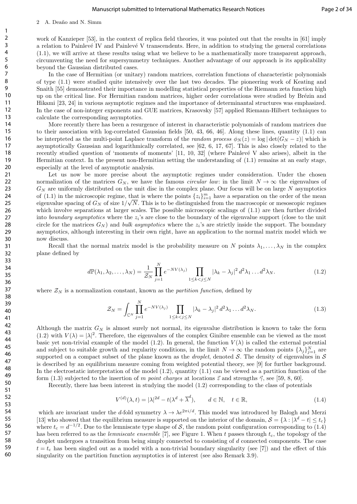#### 2 A. Deaño and N. Simm

work of Kanzieper [53], in the context of replica field theories, it was pointed out that the results in [61] imply a relation to Painlevé IV and Painlevé V transcendents. Here, in addition to studying the general correlations (1.1), we will arrive at these results using what we believe to be a mathematically more transparent approach, circumventing the need for supersymmetry techniques. Another advantage of our approach is its applicability beyond the Gaussian distributed cases.

In the case of Hermitian (or unitary) random matrices, correlation functions of characteristic polynomials of type (1.1) were studied quite intensively over the last two decades. The pioneering work of Keating and Snaith [55] demonstrated their importance in modelling statistical properties of the Riemann zeta function high up on the critical line. For Hermitian random matrices, higher order correlations were studied by Brézin and Hikami [23, 24] in various asymptotic regimes and the importance of determinantal structures was emphasized. In the case of non-integer exponents and GUE matrices, Krasovsky [57] applied Riemann-Hilbert techniques to calculate the corresponding asymptotics.

More recently there has been a resurgence of interest in characteristic polynomials of random matrices due to their association with log-correlated Gaussian fields [50, 43, 66, 46]. Along these lines, quantity (1.1) can be interpteted as the multi-point Laplace transform of the *random process*  $\phi_N(z) = \log |\det(G_N - z)|$  which is asymptotically Gaussian and logarithmically correlated, see [62, 6, 17, 67]. This is also closely related to the recently studied question of 'moments of moments' [11, 10, 32] (where Painlevé V also arises), albeit in the Hermitian context. In the present non-Hermitian setting the understanding of (1.1) remains at an early stage, especially at the level of asymptotic analysis.

Let us now be more precise about the asymptotic regimes under consideration. Under the chosen normalization of the matrices  $G_N$ , we have the famous *circular law*: in the limit  $N \to \infty$  the eigenvalues of  $G_N$  are uniformly distributed on the unit disc in the complex plane. Our focus will be on large N asymptotics of (1.1) in the microscopic regime, that is where the points  $\{z_i\}_{i=1}^m$  have a separation on the order of the mean eigenvalue spacing of  $G_N$  of size  $1/\sqrt{N}$ . This is to be distinguished from the macroscopic or mesoscopic regimes which involve separations at larger scales. The possible microscopic scalings of  $(1.1)$  are then further divided into boundary asymptotics where the  $z_i$ 's are close to the boundary of the eigenvalue support (close to the unit circle for the matrices  $G_N$ ) and *bulk asymptotics* where the  $z_i$ 's are strictly inside the support. The boundary asymptotics, although interesting in their own right, have an application to the normal matrix model which we now discuss.

Recall that the normal matrix model is the probability measure on N points  $\lambda_1, \ldots, \lambda_N$  in the complex plane defined by

$$
d\mathbb{P}(\lambda_1, \lambda_2, \dots, \lambda_N) = \frac{1}{\mathcal{Z}_N} \prod_{j=1}^N e^{-NV(\lambda_j)} \prod_{1 \le k < j \le N} |\lambda_k - \lambda_j|^2 d^2 \lambda_1 \dots d^2 \lambda_N. \tag{1.2}
$$

where  $\mathcal{Z}_N$  is a normalization constant, known as the *partition function*, defined by

$$
\mathcal{Z}_N = \int_{\mathbb{C}^N} \prod_{j=1}^N e^{-NV(\lambda_j)} \prod_{1 \le k < j \le N} |\lambda_k - \lambda_j|^2 \, d^2 \lambda_1 \dots d^2 \lambda_N. \tag{1.3}
$$

Although the matrix  $G_N$  is almost surely not normal, its eigenvalue distribution is known to take the form (1.2) with  $V(\lambda) = |\lambda|^2$ . Therefore, the eigenvalues of the complex Ginibre ensemble can be viewed as the most basic yet non-trivial example of the model (1.2). In general, the function  $V(\lambda)$  is called the external potential and subject to suitable growth and regularity conditions, in the limit  $N \to \infty$  the random points  $\{\lambda_j\}_{j=1}^N$  are supported on a compact subset of the plane known as the *droplet*, denoted S. The density of eigenvalues in  $S$ is described by an equilibrium measure coming from weighted potential theory, see [9] for further background. In the electrostatic interpretation of the model  $(1.2)$ , quantity  $(1.1)$  can be viewed as a partition function of the form (1.3) subjected to the insertion of m point charges at locations  $\vec{z}$  and strengths  $\vec{\gamma}$ , see [59, 8, 60].

Recently, there has been interest in studying the model (1.2) corresponding to the class of potentials

$$
V^{(d)}(\lambda, t) = |\lambda|^{2d} - t(\lambda^d + \overline{\lambda}^d), \qquad d \in \mathbb{N}, \quad t \in \mathbb{R},
$$
\n(1.4)

which are invariant under the d-fold symmetry  $\lambda \to \lambda e^{2\pi i/d}$ . This model was introduced by Balogh and Merzi [13] who showed that the equilibrium measure is supported on the interior of the domain,  $S = \{\lambda : |\lambda^d - t| \le t_c\}$ where  $t_c = d^{-1/2}$ . Due to the lemniscate type shape of S, the random point configuration corresponding to (1.4) has been referred to as the *lemniscate ensemble* [7], see Figure 1. When t passes through  $t_c$ , the topology of the droplet undergoes a transition from being simply connected to consisting of d connected components. The case  $t = t_c$  has been singled out as a model with a non-trivial boundary singularity (see [7]) and the effect of this singularity on the partition function asymptotics is of interest (see also Remark 3.9).

60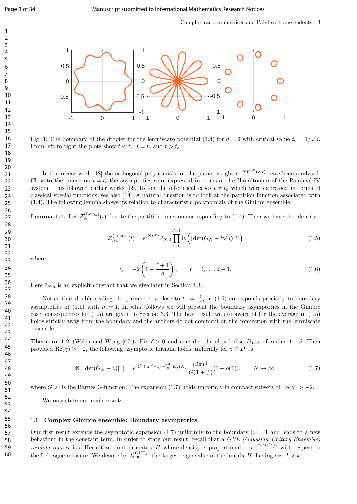

Fig. 1: The boundary of the droplet for the lemniscate potential (1.4) for  $d = 9$  with critical value  $t_c = 1/$ √ d. From left to right the plots show  $t < t_c$ ,  $t = t_c$  and  $t > t_c$ .

In the recent work [18] the orthogonal polynomials for the planar weight  $e^{-NV^{(d)}(\lambda,t)}$  have been analysed. Close to the transition  $t = t_c$  the asymptotics were expressed in terms of the Hamiltonian of the Painlevé IV system. This followed earlier works [59, 15] on the off-critical cases  $t \neq t_c$  which were expressed in terms of classical special functions, see also [14]. A natural question is to look at the partition function associated with (1.4). The following lemma shows its relation to characteristic polynomials of the Ginibre ensemble.

**Lemma 1.1.** Let  $\mathcal{Z}_N^{(Lem_d)}(t)$  denote the partition function corresponding to (1.4). Then we have the identity

$$
\mathcal{Z}_{Nd}^{(\text{Lem}_d)}(t) = e^{(Ntd)^2} \tilde{c}_{N,d} \prod_{\ell=0}^{d-1} \mathbb{E}\left( |\det(G_N - t\sqrt{d})|^{\gamma_\ell} \right) \tag{1.5}
$$

where

$$
\gamma_l = -2\left(1 - \frac{\ell+1}{d}\right), \qquad \ell = 0, \dots, d-1.
$$
 (1.6)

Here  $\tilde{c}_{N,d}$  is an explicit constant that we give later in Section 3.3.

Notice that double scaling the parameter t close to  $t_c := \frac{1}{\sqrt{2}}$  $\overline{\overline{d}}$  in (1.5) corresponds precisely to boundary asymptotics of (1.1) with  $m = 1$ . In what follows we will present the boundary asymptotics in the Ginibre case; consequences for (1.5) are given in Section 3.3. The best result we are aware of for the average in (1.5) holds strictly away from the boundary and the authors do not comment on the connection with the lemniscate ensemble.

**Theorem 1.2** (Webb and Wong [67]). Fix  $\delta > 0$  and consider the closed disc  $D_{1-\delta}$  of radius  $1-\delta$ . Then provided Re( $\gamma$ ) > -2, the following asymptotic formula holds uniformly for  $z \in D_{1-\delta}$ 

$$
\mathbb{E}\left(|\det(G_N - z)|^{\gamma}\right) = e^{\frac{N\gamma}{2}(|z|^2 - 1) + \frac{\gamma^2}{8}\log(N)} \frac{(2\pi)^{\frac{\gamma}{4}}}{G(1 + \frac{\gamma}{2})} (1 + o(1)), \qquad N \to \infty,
$$
\n(1.7)

where  $G(z)$  is the Barnes G-function. The expansion (1.7) holds uniformly in compact subsets of Re( $\gamma$ ) > -2.

We now state our main results.

#### 1.1 Complex Ginibre ensemble: Boundary asymptotics

Our first result extends the asymptotic expansion (1.7) uniformly to the boundary  $|z| = 1$  and leads to a new behaviour in the constant term. In order to state our result, recall that a GUE (Gaussian Unitary Ensemble) random matrix is a Hermitian random matrix H whose density is proportional to  $e^{-\text{Tr}(H^2)/2}$  with respect to the Lebesgue measure. We denote by  $\lambda_{\max}^{(\text{GUE}_k)}$  the largest eigenvalue of the matrix H, having size  $k \times k$ .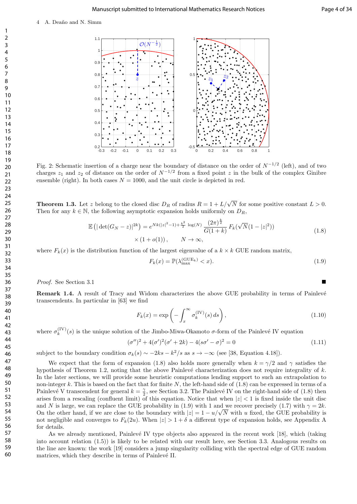

Fig. 2: Schematic insertion of a charge near the boundary of distance on the order of  $N^{-1/2}$  (left), and of two charges  $z_1$  and  $z_2$  of distance on the order of  $N^{-1/2}$  from a fixed point z in the bulk of the complex Ginibre ensemble (right). In both cases  $N = 1000$ , and the unit circle is depicted in red.

**Theorem 1.3.** Let z belong to the closed disc  $D_R$  of radius  $R = 1 + L/\sqrt{N}$  for some positive constant  $L > 0$ . Then for any  $k \in \mathbb{N}$ , the following asymptotic expansion holds uniformly on  $D_R$ ,

$$
\mathbb{E}\left(|\det(G_N - z)|^{2k}\right) = e^{Nk(|z|^2 - 1) + \frac{k^2}{2}\log(N)} \frac{(2\pi)^{\frac{k}{2}}}{G(1+k)} F_k(\sqrt{N}(1-|z|^2))
$$
\n
$$
\times (1+o(1)), \qquad N \to \infty,
$$
\n(1.8)

where  $F_k(x)$  is the distribution function of the largest eigenvalue of a  $k \times k$  GUE random matrix,

$$
F_k(x) = \mathbb{P}(\lambda_{\max}^{(\text{GUE}_k)} < x). \tag{1.9}
$$

Proof. See Section 3.1

**Remark 1.4.** A result of Tracy and Widom characterizes the above GUE probability in terms of Painlevé transcendents. In particular in [63] we find

$$
F_k(x) = \exp\left(-\int_x^\infty \sigma_k^{(IV)}(s) \, ds\right),\tag{1.10}
$$

where  $\sigma_k^{\text{(IV)}}$  $\kappa_k^{(IV)}(s)$  is the unique solution of the Jimbo-Miwa-Okamoto  $\sigma$ -form of the Painlevé IV equation

$$
(\sigma'')^2 + 4(\sigma')^2(\sigma' + 2k) - 4(s\sigma' - \sigma)^2 = 0
$$
\n(1.11)

subject to the boundary condition  $\sigma_k(s) \sim -2ks - k^2/s$  as  $s \to -\infty$  (see [38, Equation 4.18]).

We expect that the form of expansion (1.8) also holds more generally when  $k = \gamma/2$  and  $\gamma$  satisfies the hypothesis of Theorem 1.2, noting that the above Painlevé characterization does not require integrality of  $k$ . In the later sections, we will provide some heuristic computations lending support to such an extrapolation to non-integer k. This is based on the fact that for finite N, the left-hand side of  $(1.8)$  can be expressed in terms of a Painlevé V transcendent for general  $k = \frac{\gamma}{2}$ , see Section 3.2. The Painlevé IV on the right-hand side of (1.8) then arises from a rescaling (confluent limit) of this equation. Notice that when  $|z| < 1$  is fixed inside the unit disc and N is large, we can replace the GUE probability in (1.9) with 1 and we recover precisely (1.7) with  $\gamma = 2k$ . and N is large, we can replace the GUE probability in (1.9) with 1 and we recover precisely (1.7) with  $\gamma = 2k$ .<br>On the other hand, if we are close to the boundary with  $|z| = 1 - u/\sqrt{N}$  with u fixed, the GUE probability is not negligible and converges to  $F_k(2u)$ . When  $|z| > 1 + \delta$  a different type of expansion holds, see Appendix A for details.

As we already mentioned, Painlevé IV type objects also appeared in the recent work [18], which (taking into account relation (1.5)) is likely to be related with our result here, see Section 3.3. Analogous results on the line are known: the work [19] considers a jump singularity colliding with the spectral edge of GUE random matrices, which they describe in terms of Painlevé II.

60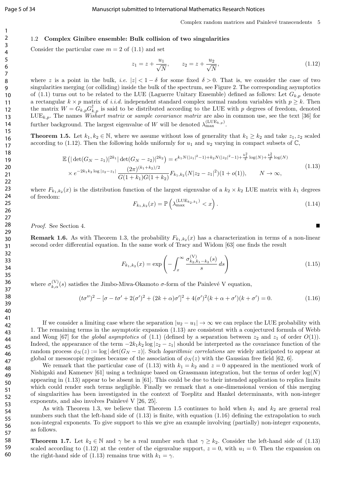#### 1.2 Complex Ginibre ensemble: Bulk collision of two singularities

Consider the particular case  $m = 2$  of  $(1.1)$  and set

$$
z_1 = z + \frac{u_1}{\sqrt{N}}, \qquad z_2 = z + \frac{u_2}{\sqrt{N}}, \tag{1.12}
$$

where z is a point in the bulk, i.e.  $|z| < 1 - \delta$  for some fixed  $\delta > 0$ . That is, we consider the case of two singularities merging (or colliding) inside the bulk of the spectrum, see Figure 2. The corresponding asymptotics of (1.1) turns out to be related to the LUE (Laguerre Unitary Ensemble) defined as follows: Let  $G_{k,p}$  denote a rectangular  $k \times p$  matrix of *i.i.d.* independent standard complex normal random variables with  $p \geq k$ . Then the matrix  $W = G_{k,p} G_{k,p}^{\dagger}$  is said to be distributed according to the LUE with p degrees of freedom, denoted  $LUE_{k,p}$ . The names *Wishart matrix* or *sample covariance matrix* are also in common use, see the text [36] for further background. The largest eigenvalue of W will be denoted  $\lambda_{\max}^{\text{(LUE}_{k,p})}$ .

**Theorem 1.5.** Let  $k_1, k_2 \in \mathbb{N}$ , where we assume without loss of generality that  $k_1 \geq k_2$  and take  $z_1, z_2$  scaled according to (1.12). Then the following holds uniformly for  $u_1$  and  $u_2$  varying in compact subsets of  $\mathbb{C}$ ,

$$
\mathbb{E}\left(|\det(G_N - z_1)|^{2k_1} |\det(G_N - z_2)|^{2k_2}\right) = e^{k_1 N(|z_1|^2 - 1) + k_2 N(|z_2|^2 - 1) + \frac{k_1^2}{2}\log(N) + \frac{k_2^2}{2}\log(N)} \times e^{-2k_1 k_2 \log|z_2 - z_1|} \frac{(2\pi)^{(k_1 + k_2)/2}}{G(1 + k_1)G(1 + k_2)} F_{k_1, k_2}(N|z_2 - z_1|^2)(1 + o(1)), \qquad N \to \infty,
$$
\n(1.13)

where  $F_{k_1,k_2}(x)$  is the distribution function of the largest eigenvalue of a  $k_2 \times k_2$  LUE matrix with  $k_1$  degrees of freedom:

$$
F_{k_1,k_2}(x) = \mathbb{P}\left(\lambda_{\max}^{(\text{LUE}_{k_2,k_1})} < x\right). \tag{1.14}
$$

Proof. See Section 4.

**Remark 1.6.** As with Theorem 1.3, the probability  $F_{k_1,k_2}(x)$  has a characterization in terms of a non-linear second order differential equation. In the same work of Tracy and Widom [63] one finds the result

$$
F_{k_1,k_2}(x) = \exp\left(-\int_x^\infty \frac{\sigma_{k_2,k_1-k_2}^{(\mathrm{V})}(s)}{s} \, ds\right) \tag{1.15}
$$

where  $\sigma_{k,\alpha}^{(V)}(s)$  satisfies the Jimbo-Miwa-Okamoto  $\sigma$ -form of the Painlevé V equation,

$$
(t\sigma'')^2 - [\sigma - t\sigma' + 2(\sigma')^2 + (2k + \alpha)\sigma']^2 + 4(\sigma')^2(k + \alpha + \sigma')(k + \sigma') = 0.
$$
 (1.16)

If we consider a limiting case where the separation  $|u_2 - u_1| \to \infty$  we can replace the LUE probability with 1. The remaining terms in the asymptotic expansion (1.13) are consistent with a conjectured formula of Webb and Wong [67] for the *global asymptotics* of (1.1) (defined by a separation between  $z_2$  and  $z_1$  of order  $O(1)$ ). Indeed, the appearance of the term  $-2k_1k_2 \log |z_2 - z_1|$  should be interpreted as the covariance function of the random process  $\phi_N(z) := \log |\det(G_N - z)|$ . Such *logarithmic correlations* are widely anticipated to appear at global or mesoscopic regimes because of the association of  $\phi_N(z)$  with the Gaussian free field [62, 6].

We remark that the particular case of (1.13) with  $k_1 = k_2$  and  $z = 0$  appeared in the mentioned work of Nishigaki and Kamenev [61] using a technique based on Grassmann integration, but the terms of order  $log(N)$ appearing in (1.13) appear to be absent in [61]. This could be due to their intended application to replica limits which could render such terms negligible. Finally we remark that a one-dimensional version of this merging of singularities has been investigated in the context of Toeplitz and Hankel determinants, with non-integer exponents, and also involves Painlevé V  $[26, 25]$ .

As with Theorem 1.3, we believe that Theorem 1.5 continues to hold when  $k_1$  and  $k_2$  are general real numbers such that the left-hand side of  $(1.13)$  is finite, with equation  $(1.16)$  defining the extrapolation to such non-integral exponents. To give support to this we give an example involving (partially) non-integer exponents, as follows.

**Theorem 1.7.** Let  $k_2 \in \mathbb{N}$  and  $\gamma$  be a real number such that  $\gamma \geq k_2$ . Consider the left-hand side of (1.13) scaled according to (1.12) at the center of the eigenvalue support,  $z = 0$ , with  $u_1 = 0$ . Then the expansion on the right-hand side of (1.13) remains true with  $k_1 = \gamma$ .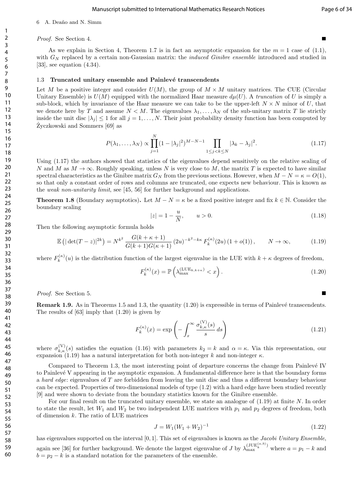#### Manuscript submitted to International Mathematics Research Notices Page 6 of 34

#### 6 A. Deaño and N. Simm

#### Proof. See Section 4.

As we explain in Section 4, Theorem 1.7 is in fact an asymptotic expansion for the  $m = 1$  case of (1.1). with  $G_N$  replaced by a certain non-Gaussian matrix: the *induced Ginibre ensemble* introduced and studied in [33], see equation  $(4.34)$ .

#### 1.3 Truncated unitary ensemble and Painlevé transcendents

Let M be a positive integer and consider  $U(M)$ , the group of  $M \times M$  unitary matrices. The CUE (Circular Unitary Ensemble) is  $U(M)$  equipped with the normalized Haar measure  $d\mu(U)$ . A truncation of U is simply a sub-block, which by invariance of the Haar measure we can take to be the upper-left  $N \times N$  minor of U, that we denote here by T and assume  $N < M$ . The eigenvalues  $\lambda_1, \ldots, \lambda_N$  of the sub-unitary matrix T lie strictly inside the unit disc  $|\lambda_j| \leq 1$  for all  $j = 1, \ldots, N$ . Their joint probability density function has been computed by Zyczkowski and Sommers [69] as

$$
P(\lambda_1, ..., \lambda_N) \propto \prod_{j=1}^N (1 - |\lambda_j|^2)^{M - N - 1} \prod_{1 \le j < k \le N} |\lambda_k - \lambda_j|^2. \tag{1.17}
$$

Using (1.17) the authors showed that statistics of the eigenvalues depend sensitively on the relative scaling of N and M as  $M \to \infty$ . Roughly speaking, unless N is very close to M, the matrix T is expected to have similar spectral characteristics as the Ginibre matrix  $G_N$  from the previous sections. However, when  $M - N = \kappa = O(1)$ , so that only a constant order of rows and columns are truncated, one expects new behaviour. This is known as the weak non-unitarity limit, see [45, 56] for further background and applications.

**Theorem 1.8** (Boundary asymptotics). Let  $M - N = \kappa$  be a fixed positive integer and fix  $k \in \mathbb{N}$ . Consider the boundary scaling

$$
|z| = 1 - \frac{u}{N}, \qquad u > 0.
$$
 (1.18)

Then the following asymptotic formula holds

$$
\mathbb{E}\left(|\det(T-z)|^{2k}\right) = N^{k^2} \frac{G(k+\kappa+1)}{G(k+1)G(\kappa+1)} (2u)^{-k^2-k\kappa} F_k^{(\kappa)}(2u) (1+o(1)), \qquad N \to \infty,
$$
 (1.19)

where  $F_k^{(\kappa)}$  $k^{(k)}(u)$  is the distribution function of the largest eigenvalue in the LUE with  $k + \kappa$  degrees of freedom,

$$
F_k^{(\kappa)}(x) = \mathbb{P}\left(\lambda_{\max}^{\text{(LUE}_{k,k+\kappa})} < x\right). \tag{1.20}
$$

Proof. See Section 5.

**Remark 1.9.** As in Theorems 1.5 and 1.3, the quantity  $(1.20)$  is expressible in terms of Painlevé transcendents. The results of [63] imply that (1.20) is given by

$$
F_k^{(\kappa)}(x) = \exp\left(-\int_x^\infty \frac{\sigma_{k,\kappa}^{(\mathbf{V})}(s)}{s} ds\right) \tag{1.21}
$$

where  $\sigma_{k,\kappa}^{(V)}(s)$  satisfies the equation (1.16) with parameters  $k_2 = k$  and  $\alpha = \kappa$ . Via this representation, our expansion (1.19) has a natural interpretation for both non-integer k and non-integer  $\kappa$ .

Compared to Theorem 1.3, the most interesting point of departure concerns the change from Painlevé IV to Painlev´e V appearing in the asymptotic expansion. A fundamental difference here is that the boundary forms a hard edge: eigenvalues of T are forbidden from leaving the unit disc and thus a different boundary behaviour can be expected. Properties of two-dimensional models of type (1.2) with a hard edge have been studied recently [9] and were shown to deviate from the boundary statistics known for the Ginibre ensemble.

For our final result on the truncated unitary ensemble, we state an analogue of  $(1.19)$  at finite N. In order to state the result, let  $W_1$  and  $W_2$  be two independent LUE matrices with  $p_1$  and  $p_2$  degrees of freedom, both of dimension k. The ratio of LUE matrices

$$
J = W_1(W_1 + W_2)^{-1}
$$
\n(1.22)

has eigenvalues supported on the interval [0, 1]. This set of eigenvalues is known as the Jacobi Unitary Ensemble, again see [36] for further background. We denote the largest eigenvalue of J by  $\lambda_{\max}^{(JUE_k^{(a,b)})}$  where  $a = p_1 - k$  and  $b = p_2 - k$  is a standard notation for the parameters of the ensemble.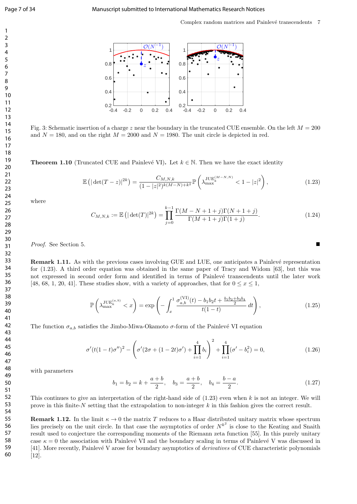Complex random matrices and Painlevé transcendents 7



Fig. 3: Schematic insertion of a charge z near the boundary in the truncated CUE ensemble. On the left  $M = 200$ and  $N = 180$ , and on the right  $M = 2000$  and  $N = 1980$ . The unit circle is depicted in red.

**Theorem 1.10** (Truncated CUE and Painlevé VI). Let  $k \in \mathbb{N}$ . Then we have the exact identity

$$
\mathbb{E}\left(|\det(T-z)|^{2k}\right) = \frac{C_{M,N,k}}{(1-|z|^2)^{k(M-N)+k^2}} \mathbb{P}\left(\lambda_{\max}^{\text{JUE}_k^{(M-N,N)}} < 1-|z|^2\right),\tag{1.23}
$$

where

$$
C_{M,N,k} := \mathbb{E}\left(|\det(T)|^{2k}\right) = \prod_{j=0}^{k-1} \frac{\Gamma(M-N+1+j)\Gamma(N+1+j)}{\Gamma(M+1+j)\Gamma(1+j)}.\tag{1.24}
$$

Proof. See Section 5.

**Remark 1.11.** As with the previous cases involving GUE and LUE, one anticipates a Painlevé representation for (1.23). A third order equation was obtained in the same paper of Tracy and Widom [63], but this was not expressed in second order form and identified in terms of Painlevé transcendents until the later work [48, 68, 1, 20, 41]. These studies show, with a variety of approaches, that for  $0 \leq x \leq 1$ ,

$$
\mathbb{P}\left(\lambda_{\max}^{\text{JUE}_k^{(a,b)}} < x\right) = \exp\left(-\int_x^1 \frac{\sigma_{a,b}^{(\text{VI})}(t) - b_1 b_2 t + \frac{b_1 b_2 + b_3 b_4}{2}}{t(1-t)} dt\right),\tag{1.25}
$$

The function  $\sigma_{a,b}$  satisfies the Jimbo-Miwa-Okamoto  $\sigma$ -form of the Painlevé VI equation

$$
\sigma'(t(1-t)\sigma'')^2 - \left(\sigma'(2\sigma + (1-2t)\sigma') + \prod_{i=1}^4 b_i\right)^2 + \prod_{i=1}^4 (\sigma' - b_i^2) = 0,\tag{1.26}
$$

with parameters

$$
b_1 = b_2 = k + \frac{a+b}{2}
$$
,  $b_3 = \frac{a+b}{2}$ ,  $b_4 = \frac{b-a}{2}$ . (1.27)

This continues to give an interpretation of the right-hand side of  $(1.23)$  even when k is not an integer. We will prove in this finite-N setting that the extrapolation to non-integer  $k$  in this fashion gives the correct result.

**Remark 1.12.** In the limit  $\kappa \to 0$  the matrix T reduces to a Haar distributed unitary matrix whose spectrum lies precisely on the unit circle. In that case the asymptotics of order  $N^{k^2}$  is close to the Keating and Snaith result used to conjecture the corresponding moments of the Riemann zeta function [55]. In this purely unitary case  $\kappa = 0$  the association with Painlevé VI and the boundary scaling in terms of Painlevé V was discussed in [41]. More recently, Painlevé V arose for boundary asymptotics of *derivatives* of CUE characteristic polynomials [12].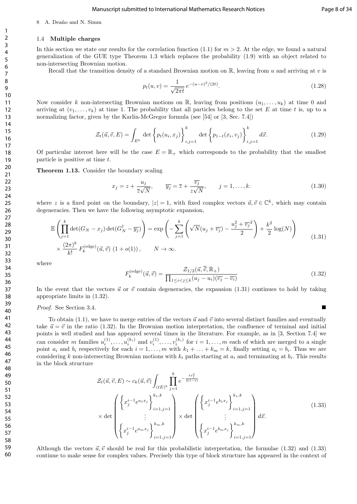#### 8 A. Deaño and N. Simm

#### 1.4 Multiple charges

In this section we state our results for the correlation function (1.1) for  $m > 2$ . At the edge, we found a natural generalization of the GUE type Theorem 1.3 which replaces the probability (1.9) with an object related to non-intersecting Brownian motion.

Recall that the transition density of a standard Brownian motion on  $\mathbb{R}$ , leaving from u and arriving at v is

$$
p_t(u,v) = \frac{1}{\sqrt{2\pi t}} e^{-(u-v)^2/(2t)}.
$$
\n(1.28)

Now consider k non-intersecting Brownian motions on R, leaving from positions  $(u_1, \ldots, u_k)$  at time 0 and arriving at  $(v_1, \ldots, v_k)$  at time 1. The probability that all particles belong to the set E at time t is, up to a normalizing factor, given by the Karlin-McGregor formula (see [54] or [3, Sec. 7.4])

$$
\mathcal{Z}_{t}(\vec{u}, \vec{v}, E) = \int_{E^{k}} \det \left\{ p_{t}(u_{i}, x_{j}) \right\}_{i,j=1}^{k} \det \left\{ p_{1-t}(x_{i}, v_{j}) \right\}_{i,j=1}^{k} d\vec{x}.
$$
\n(1.29)

Of particular interest here will be the case  $E = \mathbb{R}_+$  which corresponds to the probability that the smallest particle is positive at time t.

#### Theorem 1.13. Consider the boundary scaling

$$
x_j = z + \frac{u_j}{\overline{z}\sqrt{N}}, \qquad \overline{y_j} = \overline{z} + \frac{\overline{v_j}}{z\sqrt{N}}, \qquad j = 1, \dots, k.
$$
 (1.30)

where z is a fixed point on the boundary,  $|z|=1$ , with fixed complex vectors  $\vec{u}, \vec{v} \in \mathbb{C}^k$ , which may contain degeneracies. Then we have the following asymptotic expansion,

$$
\mathbb{E}\left(\prod_{j=1}^{k}\det(G_N - x_j)\det(G_N^{\dagger} - \overline{y_j})\right) = \exp\left(-\sum_{j=1}^{k}\left(\sqrt{N}(u_j + \overline{v_j}) - \frac{u_j^2 + \overline{v_j}^2}{2}\right) + \frac{k^2}{2}\log(N)\right)
$$
\n
$$
\times \frac{(2\pi)^k}{k!} F_k^{(\text{edge})}(\vec{u}, \vec{v}) (1 + o(1)), \qquad N \to \infty.
$$
\n(1.31)

where

$$
F_k^{(\text{edge})}(\vec{u}, \vec{v}) = \frac{\mathcal{Z}_{1/2}(\vec{u}, \overline{\vec{v}}, \mathbb{R}_+)}{\prod_{1 \le i < j \le k} (u_j - u_i)(\overline{v_j} - \overline{v_i})} \tag{1.32}
$$

In the event that the vectors  $\vec{u}$  or  $\vec{v}$  contain degeneracies, the expansion (1.31) continues to hold by taking appropriate limits in (1.32).

#### Proof. See Section 3.4.

To obtain (1.1), we have to merge entries of the vectors  $\vec{u}$  and  $\vec{v}$  into several distinct families and eventually take  $\vec{u} = \vec{v}$  in the ratio (1.32). In the Brownian motion interpretation, the confluence of terminal and initial points is well studied and has appeared several times in the literature. For example, as in [3, Section 7.4] we can consider m families  $u_i^{(1)}$  $u_i^{(1)}, \ldots, u_i^{(k_i)}$  and  $v_i^{(1)}$  $i<sub>i</sub><sup>(1)</sup>,..., v<sub>i</sub><sup>(k<sub>i</sub>)</sup>$  for  $i = 1,..., m$  each of which are merged to a single point  $a_i$  and  $b_i$  respectively for each  $i = 1, \ldots, m$  with  $k_1 + \ldots + k_m = k$ , finally setting  $a_i = b_i$ . Thus we are considering k non-intersecting Brownian motions with  $k_i$  paths starting at  $a_i$  and terminating at  $b_i$ . This results in the block structure

$$
\mathcal{Z}_{t}(\vec{u}, \vec{v}, E) \sim c_{k}(\vec{u}, \vec{v}) \int_{(tE)^{k}} \prod_{j=1}^{k} e^{-\frac{tx_{j}^{2}}{2(1-t)}}
$$
\n
$$
\times \det \begin{pmatrix} \left\{ x_{j}^{i-1} e^{a_{1}x_{j}} \right\}_{i=1, j=1}^{k_{1}, k} \\ \vdots \\ \left\{ x_{j}^{i-1} e^{a_{m}x_{j}} \right\}_{i=1, j=1}^{k_{m}, k} \end{pmatrix} \times \det \begin{pmatrix} \left\{ x_{j}^{i-1} e^{b_{1}x_{j}} \right\}_{i=1, j=1}^{k_{1}, k} \\ \vdots \\ \left\{ x_{j}^{i-1} e^{b_{m}x_{j}} \right\}_{i=1, j=1}^{k_{m}, k} \end{pmatrix} d\vec{x}.
$$
\n(1.33)

Although the vectors  $\vec{u}, \vec{v}$  should be real for this probabilistic interpretation, the formulae (1.32) and (1.33) continue to make sense for complex values. Precisely this type of block structure has appeared in the context of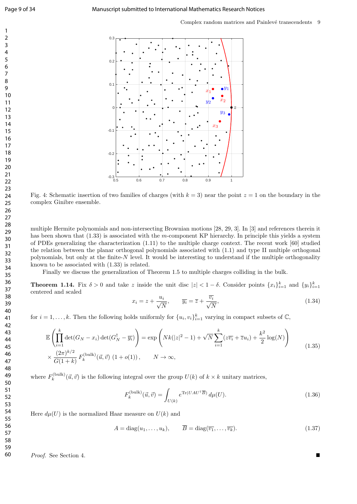

Fig. 4: Schematic insertion of two families of charges (with  $k = 3$ ) near the point  $z = 1$  on the boundary in the complex Ginibre ensemble.

multiple Hermite polynomials and non-intersecting Brownian motions [28, 29, 3]. In [3] and references therein it has been shown that (1.33) is associated with the m-component KP hierarchy. In principle this yields a system of PDEs generalizing the characterization (1.11) to the multiple charge context. The recent work [60] studied the relation between the planar orthogonal polynomials associated with (1.1) and type II multiple orthogonal polynomials, but only at the finite- $N$  level. It would be interesting to understand if the multiple orthogonality known to be associated with (1.33) is related.

Finally we discuss the generalization of Theorem 1.5 to multiple charges colliding in the bulk.

**Theorem 1.14.** Fix  $\delta > 0$  and take z inside the unit disc  $|z| < 1 - \delta$ . Consider points  $\{x_i\}_{i=1}^k$  and  $\{y_i\}_{i=1}^k$ centered and scaled

$$
x_i = z + \frac{u_i}{\sqrt{N}}, \qquad \overline{y_i} = \overline{z} + \frac{\overline{v_i}}{\sqrt{N}}, \qquad (1.34)
$$

for  $i = 1, ..., k$ . Then the following holds uniformly for  $\{u_i, v_i\}_{i=1}^k$  varying in compact subsets of  $\mathbb{C}$ ,

$$
\mathbb{E}\left(\prod_{i=1}^{k}\det(G_N - x_i)\det(G_N^{\dagger} - \overline{y_i})\right) = \exp\left(Nk(|z|^2 - 1) + \sqrt{N}\sum_{i=1}^{k}(z\overline{v_i} + \overline{z}u_i) + \frac{k^2}{2}\log(N)\right)
$$
\n
$$
\times \frac{(2\pi)^{k/2}}{G(1+k)}F_k^{(\text{bulk})}(\vec{u},\vec{v})\left(1+o(1)\right), \qquad N \to \infty,
$$
\n(1.35)

where  $F_k^{(\text{bulk})}$  $\mathcal{U}_k^{(\text{bulk})}(\vec{u}, \vec{v})$  is the following integral over the group  $U(k)$  of  $k \times k$  unitary matrices,

$$
F_k^{\text{(bulk)}}(\vec{u}, \vec{v}) = \int_{U(k)} e^{\text{Tr}(UAU^\dagger \overline{B})} d\mu(U).
$$
\n(1.36)

Here  $d\mu(U)$  is the normalized Haar measure on  $U(k)$  and

$$
A = \text{diag}(u_1, \dots, u_k), \qquad \overline{B} = \text{diag}(\overline{v_1}, \dots, \overline{v_k}). \tag{1.37}
$$

Proof. See Section 4.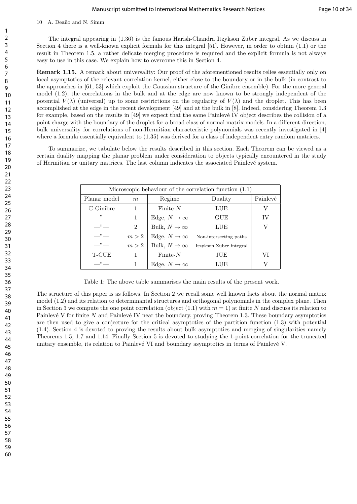The integral appearing in (1.36) is the famous Harish-Chandra Itzykson Zuber integral. As we discuss in Section 4 there is a well-known explicit formula for this integral [51]. However, in order to obtain (1.1) or the result in Theorem 1.5, a rather delicate merging procedure is required and the explicit formula is not always easy to use in this case. We explain how to overcome this in Section 4.

Remark 1.15. A remark about universality: Our proof of the aforementioned results relies essentially only on local asymptotics of the relevant correlation kernel, either close to the boundary or in the bulk (in contrast to the approaches in [61, 53] which exploit the Gaussian structure of the Ginibre ensemble). For the more general model (1.2), the correlations in the bulk and at the edge are now known to be strongly independent of the potential  $V(\lambda)$  (universal) up to some restrictions on the regularity of  $V(\lambda)$  and the droplet. This has been accomplished at the edge in the recent development [49] and at the bulk in [8]. Indeed, considering Theorem 1.3 for example, based on the results in [49] we expect that the same Painlevé IV object describes the collision of a point charge with the boundary of the droplet for a broad class of normal matrix models. In a different direction, bulk universality for correlations of non-Hermitian characteristic polynomials was recently investigated in [4] where a formula essentially equivalent to (1.35) was derived for a class of independent entry random matrices.

To summarize, we tabulate below the results described in this section. Each Theorem can be viewed as a certain duality mapping the planar problem under consideration to objects typically encountered in the study of Hermitian or unitary matrices. The last column indicates the associated Painlev´e system.

| Microscopic behaviour of the correlation function $(1.1)$ |                |                      |                         |          |  |
|-----------------------------------------------------------|----------------|----------------------|-------------------------|----------|--|
| Planar model                                              | m              | Regime               | Duality                 | Painlevé |  |
| $\mathbb{C}$ -Ginibre                                     | 1              | $Finite-N$           | LUE                     |          |  |
| $\overline{\phantom{1}}$                                  | 1              | Edge, $N \to \infty$ | GUE                     | IV       |  |
| $\cdots$ $\cdots$                                         | $\overline{2}$ | Bulk, $N \to \infty$ | LUE                     |          |  |
| $\overline{\phantom{a}}$                                  | m > 2          | Edge, $N \to \infty$ | Non-intersecting paths  |          |  |
| $\cdots$ $\cdots$                                         | m > 2          | Bulk, $N \to \infty$ | Itzykson Zuber integral |          |  |
| T-CUE                                                     |                | $Finite-N$           | JUE                     | VΙ       |  |
| $\overline{\phantom{1}}$                                  |                | Edge, $N \to \infty$ | LUE                     |          |  |

Table 1: The above table summarises the main results of the present work.

The structure of this paper is as follows. In Section 2 we recall some well known facts about the normal matrix model (1.2) and its relation to determinantal structures and orthogonal polynomials in the complex plane. Then in Section 3 we compute the one point correlation (object  $(1.1)$  with  $m = 1$ ) at finite N and discuss its relation to Painlevé V for finite  $N$  and Painlevé IV near the boundary, proving Theorem 1.3. These boundary asymptotics are then used to give a conjecture for the critical asymptotics of the partition function (1.3) with potential (1.4). Section 4 is devoted to proving the results about bulk asymptotics and merging of singularities namely Theorems 1.5, 1.7 and 1.14. Finally Section 5 is devoted to studying the 1-point correlation for the truncated unitary ensemble, its relation to Painlevé VI and boundary asymptotics in terms of Painlevé V.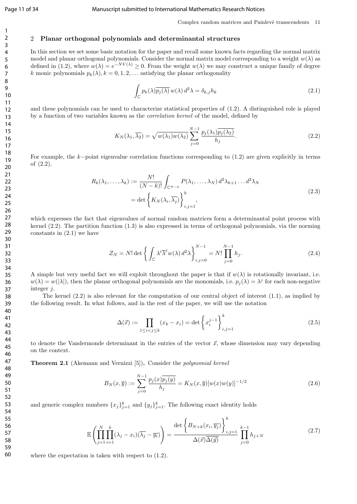#### Page 11 of 34 Manuscript submitted to International Mathematics Research Notices

Complex random matrices and Painlevé transcendents 11

#### 2 Planar orthogonal polynomials and determinantal structures

In this section we set some basic notation for the paper and recall some known facts regarding the normal matrix model and planar orthogonal polynomials. Consider the normal matrix model corresponding to a weight  $w(\lambda)$  as defined in (1.2), where  $w(\lambda) = e^{-NV(\lambda)} \ge 0$ . From the weight  $w(\lambda)$  we may construct a unique family of degree k monic polynomials  $p_k(\lambda), k = 0, 1, 2, \ldots$  satisfying the planar orthogonality

$$
\int_{\mathbb{C}} p_k(\lambda) \overline{p_j(\lambda)} \, w(\lambda) \, d^2 \lambda = \delta_{k,j} h_k \tag{2.1}
$$

and these polynomials can be used to characterize statistical properties of (1.2). A distinguished role is played by a function of two variables known as the correlation kernel of the model, defined by

$$
K_N(\lambda_1, \overline{\lambda_2}) = \sqrt{w(\lambda_1)w(\lambda_2)} \sum_{j=0}^{N-1} \frac{p_j(\lambda_1)\overline{p_j(\lambda_2)}}{h_j}.
$$
\n(2.2)

For example, the k−point eigenvalue correlation functions corresponding to (1.2) are given explicitly in terms of (2.2),

$$
R_k(\lambda_1, \dots, \lambda_k) := \frac{N!}{(N-k)!} \int_{\mathbb{C}^{N-k}} P(\lambda_1, \dots, \lambda_N) d^2 \lambda_{k+1} \dots d^2 \lambda_N
$$
  
= det  $\left\{ K_N(\lambda_i, \overline{\lambda_j}) \right\}_{i,j=1}^k$ , (2.3)

which expresses the fact that eigenvalues of normal random matrices form a determinantal point process with kernel (2.2). The partition function (1.3) is also expressed in terms of orthogonal polynomials, via the norming constants in  $(2.1)$  we have

$$
\mathcal{Z}_N = N! \det \left\{ \int_{\mathbb{C}} \lambda^i \overline{\lambda}^j w(\lambda) d^2 \lambda \right\}_{i,j=0}^{N-1} = N! \prod_{j=0}^{N-1} h_j.
$$
 (2.4)

A simple but very useful fact we will exploit throughout the paper is that if  $w(\lambda)$  is rotationally invariant, i.e.  $w(\lambda) = w(|\lambda|)$ , then the planar orthogonal polynomials are the monomials, i.e.  $p_j(\lambda) = \lambda^j$  for each non-negative integer j.

The kernel (2.2) is also relevant for the computation of our central object of interest (1.1), as implied by the following result. In what follows, and in the rest of the paper, we will use the notation

$$
\Delta(\vec{x}) := \prod_{1 \le i < j \le k} (x_k - x_i) = \det \left\{ x_i^{j-1} \right\}_{i,j=1}^k \tag{2.5}
$$

to denote the Vandermonde determinant in the entries of the vector  $\vec{x}$ , whose dimension may vary depending on the context.

Theorem 2.1 (Akemann and Vernizzi [5]). Consider the polynomial kernel

$$
B_N(x,\overline{y}) := \sum_{j=0}^{N-1} \frac{p_j(x)\overline{p_j(y)}}{h_j} = K_N(x,\overline{y})[w(x)w(y)]^{-1/2}
$$
\n(2.6)

and generic complex numbers  ${x_j}_{j=1}^k$  and  ${y_j}_{j=1}^k$ . The following exact identity holds

$$
\mathbb{E}\left(\prod_{j=1}^{N}\prod_{i=1}^{k}(\lambda_{j}-x_{i})(\overline{\lambda_{j}}-\overline{y_{i}})\right)=\frac{\det\left\{B_{N+k}(x_{i},\overline{y_{j}})\right\}_{i,j=1}^{k}}{\Delta(\overline{x})\overline{\Delta(\overline{y})}}\prod_{j=0}^{k-1}h_{j+N}
$$
\n(2.7)

where the expectation is taken with respect to (1.2).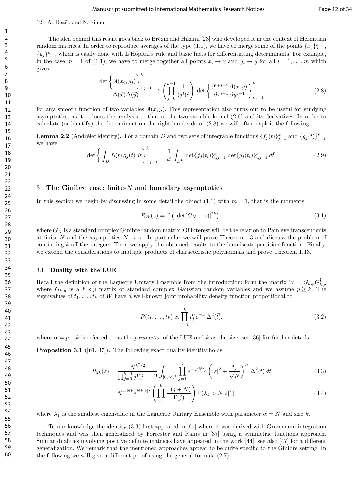#### Manuscript submitted to International Mathematics Research Notices Page 12 of 34

#### 12 A. Deaño and N. Simm

The idea behind this result goes back to Brézin and Hikami [23] who developed it in the context of Hermitian random matrices. In order to reproduce averages of the type  $(1.1)$ , we have to merge some of the points  $\{x_j\}_{j=1}^k$ ,  $\{y_j\}_{j=1}^k$  which is easily done with L'Hôpital's rule and basic facts for differentiating determinants. For example, in the case  $m = 1$  of (1.1), we have to merge together all points  $x_i \to x$  and  $y_i \to y$  for all  $i = 1, \ldots, m$  which gives

$$
\frac{\det\left\{A(x_i, y_j)\right\}_{i,j=1}^k}{\Delta(\vec{x})\Delta(\vec{y})} \to \left(\prod_{j=0}^{k-1} \frac{1}{(j!)^2}\right) \det\left\{\frac{\partial^{i+j-2}A(x,y)}{\partial x^{i-1}\partial y^{j-1}}\right\}_{i,j=1}^k
$$
\n(2.8)

for any smooth function of two variables  $A(x, y)$ . This representation also turns out to be useful for studying asymptotics, as it reduces the analysis to that of the two-variable kernel (2.6) and its derivatives. In order to calculate (or identify) the determinant on the right-hand side of (2.8) we will often exploit the following.

**Lemma 2.2** (Andréief identity). For a domain D and two sets of integrable functions  $\{f_j(t)\}_{j=1}^k$  and  $\{g_j(t)\}_{j=1}^k$ we have

$$
\det \left\{ \int_D f_i(t) \, g_j(t) \, dt \right\}_{i,j=1}^k = \frac{1}{k!} \int_{D^k} \det \{ f_j(t_i) \}_{i,j=1}^k \det \{ g_j(t_i) \}_{i,j=1}^k \, d\vec{t}.
$$

#### 3 The Ginibre case: finite- $N$  and boundary asymptotics

In this section we begin by discussing in some detail the object  $(1.1)$  with  $m = 1$ , that is the moments

$$
R_{2k}(z) = \mathbb{E}\left(|\det(G_N - z)|^{2k}\right),\tag{3.1}
$$

where  $G_N$  is a standard complex Ginibre random matrix. Of interest will be the relation to Painlevé transcendents at finite-N and the asymptotics  $N \to \infty$ . In particular we will prove Theorem 1.3 and discuss the problem of continuing  $k$  off the integers. Then we apply the obtained results to the lemniscate partition function. Finally, we extend the considerations to multiple products of characteristic polynomials and prove Theorem 1.13.

#### 3.1 Duality with the LUE

Recall the definition of the Laguerre Unitary Ensemble from the introduction: form the matrix  $W = G_{k,p} G_{k,p}^{\dagger}$ where  $G_{k,p}$  is a  $k \times p$  matrix of standard complex Gaussian random variables and we assume  $p \geq k$ . The eigenvalues of  $t_1, \ldots, t_k$  of W have a well-known joint probability density function proportional to

$$
P(t_1,\ldots,t_k) \propto \prod_{j=1}^k t_j^{\alpha} e^{-t_j} \Delta^2(\vec{t}).
$$
\n(3.2)

where  $\alpha = p - k$  is referred to as the parameter of the LUE and k as the size, see [36] for further details.

Proposition 3.1 ([61, 37]). The following exact duality identity holds:

$$
R_{2k}(z) = \frac{N^{k^2/2}}{\prod_{j=0}^{k-1} j!(j+1)!} \int_{[0,\infty)^k} \prod_{j=1}^k e^{-\sqrt{N}t_j} \left( |z|^2 + \frac{t_j}{\sqrt{N}} \right)^N \Delta^2(\vec{t}) d\vec{t}
$$
(3.3)

$$
= N^{-Nk} e^{Nk|z|^2} \left( \prod_{j=1}^k \frac{\Gamma(j+N)}{\Gamma(j)} \right) \mathbb{P}(\lambda_1 > N|z|^2)
$$
\n(3.4)

where  $\lambda_1$  is the smallest eigenvalue in the Laguerre Unitary Ensemble with parameter  $\alpha = N$  and size k.

To our knowledge the identity (3.3) first appeared in [61] where it was derived with Grassmann integration techniques and was then generalized by Forrester and Rains in [37] using a symmetric functions approach. Similar dualities involving positive definite matrices have appeared in the work [44], see also [47] for a different generalization. We remark that the mentioned approaches appear to be quite specific to the Ginibre setting. In the following we will give a different proof using the general formula (2.7).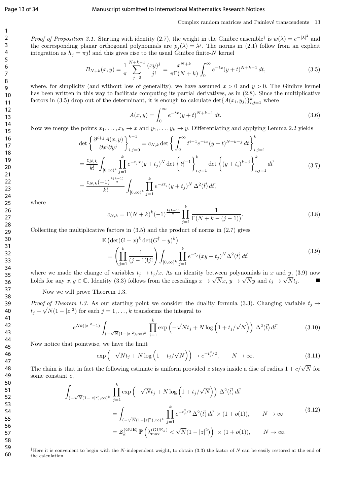#### Page 13 of 34 Manuscript submitted to International Mathematics Research Notices

#### Complex random matrices and Painlevé transcendents 13

Proof of Proposition 3.1. Starting with identity (2.7), the weight in the Ginibre ensemble<sup>†</sup> is  $w(\lambda) = e^{-|\lambda|^2}$  and the corresponding planar orthogonal polynomials are  $p_j(\lambda) = \lambda^j$ . The norms in (2.1) follow from an explicit integration as  $h_j = \pi j!$  and this gives rise to the usual Ginibre finite-N kernel

$$
B_{N+k}(x,y) = \frac{1}{\pi} \sum_{j=0}^{N+k-1} \frac{(xy)^j}{j!} = \frac{x^{N+k}}{\pi \Gamma(N+k)} \int_0^\infty e^{-tx} (y+t)^{N+k-1} dt,
$$
\n(3.5)

where, for simplicity (and without loss of generality), we have assumed  $x > 0$  and  $y > 0$ . The Ginibre kernel has been written in this way to facilitate computing its partial derivatives, as in  $(2.8)$ . Since the multiplicative factors in (3.5) drop out of the determinant, it is enough to calculate  $\det\{A(x_i, y_j)\}_{i,j=1}^k$  where

$$
A(x,y) = \int_0^\infty e^{-tx} (y+t)^{N+k-1} dt.
$$
\n(3.6)

Now we merge the points  $x_1, \ldots, x_k \to x$  and  $y_1, \ldots, y_k \to y$ . Differentiating and applying Lemma 2.2 yields

$$
\det \left\{ \frac{\partial^{i+j} A(x, y)}{\partial x^{i} \partial y^{j}} \right\}_{i,j=0}^{k-1} = c_{N,k} \det \left\{ \int_{0}^{\infty} t^{i-1} e^{-tx} (y+t)^{N+k-j} dt \right\}_{i,j=1}^{k}
$$

$$
= \frac{c_{N,k}}{k!} \int_{[0,\infty)^{k}} \prod_{j=1}^{k} e^{-t_{j}x} (y+t_{j})^{N} \det \left\{ t_{i}^{j-1} \right\}_{i,j=1}^{k} \det \left\{ (y+t_{i})^{k-j} \right\}_{i,j=1}^{k} d\vec{t}
$$

$$
= \frac{c_{N,k} (-1)^{\frac{k(k-1)}{2}}}{k!} \int_{[0,\infty)^{k}} \prod_{j=1}^{k} e^{-xt_{j}} (y+t_{j})^{N} \Delta^{2}(\vec{t}) d\vec{t}, \qquad (3.7)
$$

where

$$
c_{N,k} = \Gamma(N+k)^k(-1)^{\frac{k(k-1)}{2}} \prod_{j=1}^k \frac{1}{\Gamma(N+k-(j-1))}.
$$
\n(3.8)

Collecting the multiplicative factors in  $(3.5)$  and the product of norms in  $(2.7)$  gives

$$
\mathbb{E}\left(\det(G-x)^{k}\det(G^{\dagger}-y)^{k}\right) = \left(\prod_{j=1}^{k} \frac{1}{(j-1)!j!}\right) \int_{[0,\infty)^{k}} \prod_{j=1}^{k} e^{-t_{j}} (xy+t_{j})^{N} \Delta^{2}(\vec{t}) d\vec{t},
$$
\n(3.9)

where we made the change of variables  $t_j \to t_j/x$ . As an identity between polynomials in x and y, (3.9) now holds for any  $x, y \in \mathbb{C}$ . Identity (3.3) follows from the rescalings  $x \to \sqrt{N}x$ ,  $y \to \sqrt{N}y$  and  $t_j \to \sqrt{N}t_j$ .

Now we will prove Theorem 1.3.

*Proof of Theorem 1.3.* As our starting point we consider the duality formula (3.3). Changing variable  $t_j \rightarrow$  $t_j + \sqrt{N}(1 - |z|^2)$  for each  $j = 1, \ldots, k$  transforms the integral to

$$
e^{Nk(|z|^2-1)} \int_{(-\sqrt{N}(1-|z|^2),\infty)^k} \prod_{j=1}^k \exp\left(-\sqrt{N}t_j + N \log\left(1+t_j/\sqrt{N}\right)\right) \Delta^2(\vec{t}) d\vec{t}.\tag{3.10}
$$

Now notice that pointwise, we have the limit

$$
\exp\left(-\sqrt{N}t_j + N\log\left(1 + t_j/\sqrt{N}\right)\right) \to e^{-t_j^2/2}, \qquad N \to \infty. \tag{3.11}
$$

The claim is that in fact the following estimate is uniform provided z stays inside a disc of radius  $1 + c/\sqrt{N}$  for some constant c,

$$
\int_{(-\sqrt{N}(1-|z|^2),\infty)^k} \prod_{j=1}^k \exp\left(-\sqrt{N}t_j + N \log\left(1 + t_j/\sqrt{N}\right)\right) \Delta^2(\vec{t}) d\vec{t}
$$
\n
$$
= \int_{(-\sqrt{N}(1-|z|^2),\infty)^k} \prod_{j=1}^k e^{-t_j^2/2} \Delta^2(\vec{t}) d\vec{t} \times (1+o(1)), \qquad N \to \infty
$$
\n
$$
= \mathcal{Z}_k^{(\text{GUE})} \mathbb{P}\left(\lambda_{\text{max}}^{(\text{GUE}_k)} < \sqrt{N}(1-|z|^2)\right) \times (1+o(1)), \qquad N \to \infty.
$$
\n
$$
(3.12)
$$

<sup>†</sup>Here it is convenient to begin with the N-independent weight, to obtain (3.3) the factor of N can be easily restored at the end of the calculation.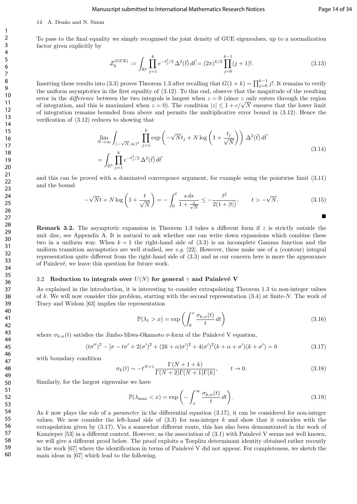#### 14 A. Deaño and N. Simm

To pass to the final equality we simply recognised the joint density of GUE eigenvalues, up to a normalization factor given explicitly by

$$
\mathcal{Z}_k^{\text{(GUE)}} := \int_{\mathbb{R}^k} \prod_{j=1}^k e^{-t_j^2/2} \Delta^2(\vec{t}) \, d\vec{t} = (2\pi)^{k/2} \prod_{j=0}^{k-1} (j+1)! . \tag{3.13}
$$

Inserting these results into (3.3) proves Theorem 1.3 after recalling that  $G(1 + k) = \prod_{j=0}^{k-1} j!$ . It remains to verify the uniform asymptotics in the first equality of (3.12). To this end, observe that the magnitude of the resulting error in the *difference* between the two integrals is largest when  $z = 0$  (since z only enters through the region error in the *aifference* between the two integrals is largest when  $z = 0$  (since z only enters through the region of integration, and this is maximized when  $z = 0$ ). The condition  $|z| \leq 1 + c/\sqrt{N}$  ensures that the lower of integration remains bounded from above and permits the multiplicative error bound in (3.12). Hence the verification of (3.12) reduces to showing that

$$
\lim_{N \to \infty} \int_{(-\sqrt{N}, \infty)^k} \prod_{j=1}^k \exp\left(-\sqrt{N}t_j + N \log\left(1 + \frac{t_j}{\sqrt{N}}\right)\right) \Delta^2(\vec{t}) d\vec{t}
$$
\n
$$
= \int_{\mathbb{R}^k} \prod_{j=1}^k e^{-t_j^2/2} \Delta^2(\vec{t}) d\vec{t}
$$
\n(3.14)

and this can be proved with a dominated convergence argument, for example using the pointwise limit (3.11) and the bound

$$
-\sqrt{N}t + N\log\left(1 + \frac{t}{\sqrt{N}}\right) = -\int_0^t \frac{s \, ds}{1 + \frac{s}{\sqrt{N}}} \le -\frac{t^2}{2(1+|t|)}, \qquad t > -\sqrt{N}.
$$
 (3.15)

**Remark 3.2.** The asymptotic expansion in Theorem 1.3 takes a different form if z is strictly outside the unit disc, see Appendix A. It is natural to ask whether one can write down expansions which combine these two in a uniform way. When  $k = 1$  the right-hand side of  $(3.3)$  is an incomplete Gamma function and the uniform transition asymptotics are well studied, see e.g. [22]. However, these make use of a (contour) integral representation quite different from the right-hand side of (3.3) and as our concern here is more the appearance of Painlevé, we leave this question for future work.

#### 3.2 Reduction to integrals over  $U(N)$  for general  $\gamma$  and Painlevé V

As explained in the introduction, it is interesting to consider extrapolating Theorem 1.3 to non-integer values of k. We will now consider this problem, starting with the second representation  $(3.4)$  at finite-N. The work of Tracy and Widom [63] implies the representation

$$
\mathbb{P}(\lambda_1 > x) = \exp\left(\int_0^x \frac{\sigma_{k,\alpha}(t)}{t} dt\right)
$$
\n(3.16)

where  $\sigma_{k,\alpha}(t)$  satisfies the Jimbo-Miwa-Okamoto  $\sigma$ -form of the Painlevé V equation,

$$
(t\sigma'')^2 - [\sigma - t\sigma' + 2(\sigma')^2 + (2k + \alpha)\sigma']^2 + 4(\sigma')^2(k + \alpha + \sigma')(k + \sigma') = 0
$$
\n(3.17)

with boundary condition

$$
\sigma_k(t) \sim -t^{N+1} \frac{\Gamma(N+1+k)}{\Gamma(N+2)\Gamma(N+1)\Gamma(k)}, \qquad t \to 0.
$$
\n(3.18)

Similarly, for the largest eigenvalue we have

$$
\mathbb{P}(\lambda_{\max} < x) = \exp\left(-\int_x^\infty \frac{\sigma_{k,\alpha}(t)}{t} \, dt\right). \tag{3.19}
$$

As k now plays the role of a *parameter* in the differential equation (3.17), it can be considered for non-integer values. We now consider the left-hand side of  $(3.3)$  for non-integer k and show that it coincides with the extrapolation given by (3.17). Via a somewhat different route, this has also been demonstrated in the work of Kanzieper  $[53]$  in a different context. However, as the association of  $(3.1)$  with Painlevé V seems not well known, we will give a different proof below. The proof exploits a Toeplitz determinant identity obtained rather recently in the work  $[67]$  where the identification in terms of Painlevé V did not appear. For completeness, we sketch the main ideas in [67] which lead to the following.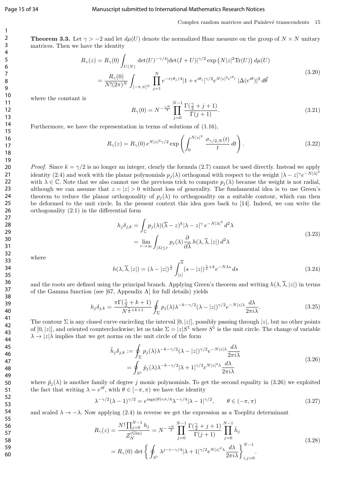#### Page 15 of 34 Manuscript submitted to International Mathematics Research Notices

#### Complex random matrices and Painlevé transcendents 15

**Theorem 3.3.** Let  $\gamma > -2$  and let  $d\mu(U)$  denote the normalized Haar measure on the group of  $N \times N$  unitary matrices. Then we have the identity

$$
R_{\gamma}(z) = R_{\gamma}(0) \int_{U(N)} \det(U)^{-\gamma/4} |\det(I+U)|^{\gamma/2} \exp(N|z|^2 \text{Tr}(U)) d\mu(U)
$$
  
= 
$$
\frac{R_{\gamma}(0)}{N!(2\pi)^N} \int_{[-\pi,\pi]^N} \prod_{j=1}^N e^{-i\gamma \theta_j/4} |1+e^{i\theta_j}|^{\gamma/2} e^{N|z|^2 e^{i\theta_j}} |\Delta(e^{i\theta})|^2 d\vec{\theta}
$$
 (3.20)

where the constant is

$$
R_{\gamma}(0) = N^{-\frac{\gamma N}{2}} \prod_{j=0}^{N-1} \frac{\Gamma(\frac{\gamma}{2} + j + 1)}{\Gamma(j+1)}.
$$
\n(3.21)

Furthermore, we have the representation in terms of solutions of (1.16),

$$
R_{\gamma}(z) = R_{\gamma}(0) e^{N|z|^{2}\gamma/2} \exp\left(\int_{0}^{N|z|^{2}} \frac{\sigma_{\gamma/2,N}(t)}{t} dt\right).
$$
 (3.22)

*Proof.* Since  $k = \gamma/2$  is no longer an integer, clearly the formula (2.7) cannot be used directly. Instead we apply identity (2.4) and work with the planar polynomials  $p_j(\lambda)$  orthogonal with respect to the weight  $|\lambda - z|^\gamma e^{-N|\lambda|^2}$ with  $\lambda \in \mathbb{C}$ . Note that we also cannot use the previous trick to compute  $p_i(\lambda)$  because the weight is not radial, although we can assume that  $z = |z| > 0$  without loss of generality. The fundamental idea is to use Green's theorem to reduce the planar orthogonality of  $p_i(\lambda)$  to orthogonality on a suitable contour, which can then be deformed to the unit circle. In the present context this idea goes back to [14]. Indeed, we can write the orthogonality (2.1) in the differential form

$$
h_j \delta_{j,k} = \int_{\mathbb{C}} p_j(\lambda) (\overline{\lambda} - z)^k |\lambda - z|^\gamma e^{-N|\lambda|^2} d^2 \lambda
$$
  
= 
$$
\lim_{r \to \infty} \int_{|\lambda| \le r} p_j(\lambda) \frac{\partial}{\partial \overline{\lambda}} h(\lambda, \overline{\lambda}, |z|) d^2 \lambda
$$
 (3.23)

where

$$
h(\lambda, \overline{\lambda}, |z|) = (\lambda - |z|)^{\frac{\gamma}{2}} \int_{|z|}^{\overline{\lambda}} (s - |z|)^{\frac{\gamma}{2} + k} e^{-N\lambda s} ds \tag{3.24}
$$

and the roots are defined using the principal branch. Applying Green's theorem and writing  $h(\lambda, \overline{\lambda}, |z|)$  in terms of the Gamma function (see [67, Appendix A] for full details) yields

$$
h_j \delta_{j,k} = \frac{\pi \Gamma(\frac{\gamma}{2} + k + 1)}{N^{\frac{\gamma}{2} + k + 1}} \oint_{\Sigma} p_j(\lambda) \lambda^{-k - \gamma/2} (\lambda - |z|)^{\gamma/2} e^{-N|z| \lambda} \frac{d\lambda}{2\pi i \lambda}.
$$
 (3.25)

The contour  $\Sigma$  is any closed curve encircling the interval  $[0, |z|]$ , possibly passing through  $|z|$ , but no other points of  $[0, |z|]$ , and oriented counterclockwise; let us take  $\Sigma = |z|S^1$  where  $S^1$  is the unit circle. The change of variable  $\lambda \rightarrow |z|\lambda$  implies that we get norms on the unit circle of the form

$$
\tilde{h}_j \delta_{j,k} := \oint_{\Sigma} p_j(\lambda) \lambda^{-k - \gamma/2} (\lambda - |z|)^{\gamma/2} e^{-N|z|\lambda} \frac{d\lambda}{2\pi i \lambda} \n= \oint_{S^1} \tilde{p}_j(\lambda) \lambda^{-k - \gamma/2} |\lambda + 1|^{\gamma/2} e^{N|z|^2 \lambda} \frac{d\lambda}{2\pi i \lambda}
$$
\n(3.26)

where  $\tilde{p}_j(\lambda)$  is another family of degree j monic polynomials. To get the second equality in (3.26) we exploited the fact that writing  $\lambda = e^{i\theta}$ , with  $\theta \in [-\pi, \pi)$  we have the identity

$$
\lambda^{-\gamma/2}(\lambda - 1)^{\gamma/2} = e^{i\operatorname{sgn}(\theta)\gamma\pi/4}\lambda^{-\gamma/4}|\lambda - 1|^{\gamma/2}, \qquad \theta \in (-\pi, \pi)
$$
\n(3.27)

and scaled  $\lambda \to -\lambda$ . Now applying (2.4) in reverse we get the expression as a Toeplitz determinant

$$
R_{\gamma}(z) = \frac{N! \prod_{j=0}^{N-1} h_j}{\mathcal{Z}_N^{(\text{Gin})}} = N^{-\frac{\gamma N}{2}} \prod_{j=0}^{N-1} \frac{\Gamma(\frac{\gamma}{2} + j + 1)}{\Gamma(j+1)} \prod_{j=0}^{N-1} \tilde{h}_j
$$
  
=  $R_{\gamma}(0) \det \left\{ \oint_{S^1} \lambda^{j-i-\gamma/4} |\lambda + 1|^{\gamma/2} e^{N|z|^2 \lambda} \frac{d\lambda}{2\pi i \lambda} \right\}_{i,j=0}^{N-1}.$  (3.28)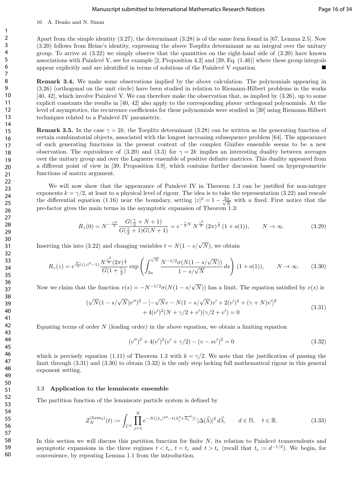#### Manuscript submitted to International Mathematics Research Notices Page 16 of 34

16 A. Deaño and N. Simm

Apart from the simple identity (3.27), the determinant (3.28) is of the same form found in [67, Lemma 2.5]. Now (3.20) follows from Heine's identity, expressing the above Toeplitz determinant as an integral over the unitary group. To arrive at (3.22) we simply observe that the quantities on the right-hand side of (3.20) have known associations with Painlevé V, see for example [2, Proposition 4.2] and [39, Eq.  $(1.46)$ ] where these group integrals appear explicitly and are identified in terms of solutions of the Painlevé  $V$  equation.

Remark 3.4. We make some observations implied by the above calculation. The polynomials appearing in (3.26) (orthogonal on the unit circle) have been studied in relation to Riemann-Hilbert problems in the works [40, 42], which involve Painlevé V. We can therefore make the observation that, as implied by  $(3.26)$ , up to some explicit constants the results in [40, 42] also apply to the corresponding planar orthogonal polynomials. At the level of asymptotics, the recurrence coefficients for these polynomials were studied in [30] using Riemann-Hilbert techniques related to a Painlevé IV parametrix.

**Remark 3.5.** In the case  $\gamma = 2k$ , the Toeplitz determinant (3.28) can be written as the generating function of certain combinatorial objects, associated with the longest increasing subsequence problem [64]. The appearance of such generating functions in the present context of the complex Ginibre ensemble seems to be a new observation. The equivalence of (3.20) and (3.3) for  $\gamma = 2k$  implies an interesting duality between averages over the unitary group and over the Laguerre ensemble of positive definite matrices. This duality appeared from a different point of view in [39, Proposition 3.9], which contains further discussion based on hypergeometric functions of matrix argument.

We will now show that the appearance of Painlevé IV in Theorem 1.3 can be justified for non-integer exponents  $k = \gamma/2$ , at least to a physical level of rigour. The idea is to take the representation (3.22) and rescale the differential equation (1.16) near the boundary, setting  $|z|^2 = 1 - \frac{2u}{\sqrt{\lambda}}$  $\frac{u}{\overline{N}}$  with u fixed. First notice that the pre-factor gives the main terms in the asymptotic expansion of Theorem 1.3:

$$
R_{\gamma}(0) = N^{-\frac{\gamma N}{2}} \frac{G(\frac{\gamma}{2} + N + 1)}{G(\frac{\gamma}{2} + 1)G(N + 1)} = e^{-\frac{\gamma}{2}N} N^{\frac{\gamma^2}{8}} (2\pi)^{\frac{\gamma}{4}} (1 + o(1)), \qquad N \to \infty.
$$
 (3.29)

Inserting this into (3.22) and changing variables  $t = N(1 - s/\sqrt{N})$ , we obtain

$$
R_{\gamma}(z) = e^{\frac{N\gamma}{2}(|z|^2 - 1)} \frac{N^{\frac{\gamma^2}{8}} (2\pi)^{\frac{\gamma}{4}}}{G(1 + \frac{\gamma}{2})} \exp\left(\int_{2u}^{\sqrt{N}} \frac{N^{-1/2} \sigma(N(1 - s/\sqrt{N}))}{1 - s/\sqrt{N}} ds\right) (1 + o(1)), \qquad N \to \infty.
$$
 (3.30)

Now we claim that the function  $v(s) = -N^{-1/2}\sigma(N(1-s/\sqrt{N}))$  has a limit. The equation satisfied by  $v(s)$  is

$$
(\sqrt{N}(1 - s/\sqrt{N})v'')^{2} - [-\sqrt{N}v - N(1 - s/\sqrt{N})v' + 2(v')^{2} + (\gamma + N)v']^{2} + 4(v')^{2}(N + \gamma/2 + v')(\gamma/2 + v') = 0
$$
\n(3.31)

Equating terms of order  $N$  (leading order) in the above equation, we obtain a limiting equation

$$
(v'')^{2} + 4(v')^{2}(v' + \gamma/2) - (v - sv')^{2} = 0
$$
\n(3.32)

which is precisely equation (1.11) of Theorem 1.3 with  $k = \gamma/2$ . We note that the justification of passing the limit through (3.31) and (3.30) to obtain (3.32) is the only step lacking full mathematical rigour in this general exponent setting.

#### 3.3 Application to the lemniscate ensemble

The partition function of the lemniscate particle system is defined by

$$
\mathcal{Z}_N^{(\text{Lem}_d)}(t) := \int_{\mathbb{C}^N} \prod_{j=1}^N e^{-N(|\lambda_j|^{2d} - t(\lambda_j^d + \overline{\lambda_j}^d))} |\Delta(\vec{\lambda})|^2 d\vec{\lambda}, \qquad d \in \mathbb{N}, \quad t \in \mathbb{R}.
$$
 (3.33)

In this section we will discuss this partition function for finite  $N$ , its relation to Painlevé transcendents and asymptotic expansions in the three regimes  $t < t_c$ ,  $t = t_c$  and  $t > t_c$  (recall that  $t_c := d^{-1/2}$ ). We begin, for convenience, by repeating Lemma 1.1 from the introduction.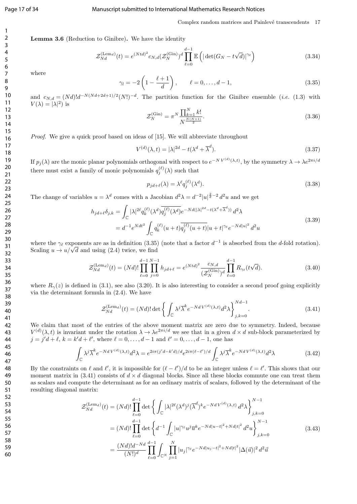#### Page 17 of 34 Manuscript submitted to International Mathematics Research Notices

#### Complex random matrices and Painlevé transcendents 17

Lemma 3.6 (Reduction to Ginibre). We have the identity

$$
\mathcal{Z}_{Nd}^{(\text{Lem}_d)}(t) = e^{(Ntd)^2} c_{N,d} (\mathcal{Z}_N^{(\text{Gin})})^d \prod_{\ell=0}^{d-1} \mathbb{E}\left( |\det(G_N - t\sqrt{d})|^{\gamma_\ell} \right)
$$
(3.34)

where

$$
\gamma_l = -2\left(1 - \frac{\ell+1}{d}\right), \qquad \ell = 0, \dots, d-1,
$$
\n(3.35)

and  $c_{N,d} = (Nd)!d^{-N(Nd+2d+1)/2}(N!)^{-d}$ . The partition function for the Ginibre ensemble (*i.e.* (1.3) with  $V(\lambda) = |\lambda|^2$ ) is

$$
\mathcal{Z}_N^{(\text{Gin})} = \pi^N \frac{\prod_{k=1}^N k!}{N^{\frac{N(N+1)}{2}}}.
$$
\n(3.36)

Proof. We give a quick proof based on ideas of [15]. We will abbreviate throughout

$$
V^{(d)}(\lambda, t) = |\lambda|^{2d} - t(\lambda^d + \overline{\lambda}^d). \tag{3.37}
$$

If  $p_j(\lambda)$  are the monic planar polynomials orthogonal with respect to  $e^{-NV^{(d)}(\lambda,t)}$ , by the symmetry  $\lambda \to \lambda e^{2\pi i/dt}$ there must exist a family of monic polynomials  $q_i^{(\ell)}$  $j_j^{(\ell)}(\lambda)$  such that

$$
p_{jd+\ell}(\lambda) = \lambda^{\ell} q_j^{(\ell)}(\lambda^d). \tag{3.38}
$$

The change of variables  $u = \lambda^d$  comes with a Jacobian  $d^2\lambda = d^{-2}|u|^{\frac{2}{d}-2} d^2u$  and we get

$$
h_{jd+\ell}\delta_{j,k} = \int_{\mathbb{C}} |\lambda|^{2\ell} q_k^{(\ell)}(\lambda^d) \overline{q_j^{(\ell)}(\lambda^d)} e^{-Nd(|\lambda|^{2d} - t(\lambda^d + \overline{\lambda}^d))} d^2\lambda
$$
  
=  $d^{-1} e^{Ndt^2} \int_{\mathbb{C}} q_k^{(\ell)} (u+t) \overline{q_j^{(\ell)}(u+t)} |u+t|^{\gamma_\ell} e^{-Nd|u|^2} d^2u$  (3.39)

where the  $\gamma_{\ell}$  exponents are as in definition (3.35) (note that a factor  $d^{-1}$  is absorbed from the d-fold rotation). where the  $\gamma_{\ell}$  exponents are as in definition (3.35)<br>Scaling  $u \to u/\sqrt{d}$  and using (2.4) twice, we find

$$
\mathcal{Z}_{Nd}^{(\text{Lem}_d)}(t) = (Nd)! \prod_{\ell=0}^{d-1} \prod_{j=0}^{N-1} h_{jd+\ell} = e^{(Ntd)^2} \frac{c_{N,d}}{(\mathcal{Z}_N^{(\text{Gin})})^d} \prod_{\ell=0}^{d-1} R_{\gamma_\ell}(t\sqrt{d}).
$$
\n(3.40)

where  $R_{\gamma}(z)$  is defined in (3.1), see also (3.20). It is also interesting to consider a second proof going explicitly via the determinant formula in (2.4). We have

$$
\mathcal{Z}_{Nd}^{(\text{Lem}_d)}(t) = (Nd)!\det\left\{\int_{\mathbb{C}} \lambda^j \overline{\lambda}^k e^{-NdV^{(d)}(\lambda, t)} d^2\lambda\right\}_{j,k=0}^{Nd-1}.
$$
 (3.41)

We claim that most of the entries of the above moment matrix are zero due to symmetry. Indeed, because  $V^{(d)}(\lambda, t)$  is invariant under the rotation  $\lambda \to \lambda e^{2\pi i/d}$  we see that in a given  $d \times d$  sub-block parameterized by  $j = j'd + \ell, k = k'd + \ell', \text{ where } \ell = 0, \ldots, d - 1 \text{ and } \ell' = 0, \ldots, d - 1, \text{ one has }$ 

$$
\int_{\mathbb{C}} \lambda^j \overline{\lambda}^k e^{-N d V^{(d)}(\lambda, t)} d^2 \lambda = e^{2i\pi (j' d - k' d)/d} e^{2i\pi (\ell - \ell')/d} \int_{\mathbb{C}} \lambda^j \overline{\lambda}^k e^{-N d V^{(d)}(\lambda, t)} d^2 \lambda \tag{3.42}
$$

By the constraints on  $\ell$  and  $\ell'$ , it is impossible for  $(\ell - \ell')/d$  to be an integer unless  $\ell = \ell'$ . This shows that our moment matrix in (3.41) consists of  $d \times d$  diagonal blocks. Since all these blocks commute one can treat them as scalars and compute the determinant as for an ordinary matrix of scalars, followed by the determinant of the resulting diagonal matrix:

$$
\mathcal{Z}_{Nd}^{(\text{Lem}_d)}(t) = (Nd)! \prod_{\ell=0}^{d-1} \det \left\{ \int_{\mathbb{C}} |\lambda|^{2\ell} (\lambda^d)^j (\overline{\lambda}^d)^k e^{-Nd V^{(d)}(\lambda, t)} d^2 \lambda \right\}_{j,k=0}^{N-1}
$$
  
\n
$$
= (Nd)! \prod_{\ell=0}^{d-1} \det \left\{ d^{-1} \int_{\mathbb{C}} |u|^{\gamma_\ell} u^j \overline{u}^k e^{-Nd|u-t|^2 + Nd|t|^2} d^2 u \right\}_{j,k=0}^{N-1}
$$
  
\n
$$
= \frac{(Nd)! d^{-Nd}}{(N!)^d} \prod_{\ell=0}^{d-1} \int_{\mathbb{C}^N} \prod_{j=1}^N |u_j|^{\gamma_\ell} e^{-Nd|u_j-t|^2 + Nd|t|^2} |\Delta(\vec{u})|^2 d^2 \vec{u}
$$
\n(3.43)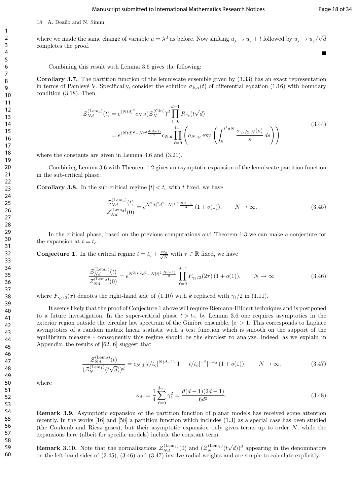#### Manuscript submitted to International Mathematics Research Notices Page 18 of 34

18 A. Deaño and N. Simm

where we made the same change of variable  $u = \lambda^d$  as before. Now shifting  $u_j \to u_j + t$  followed by  $u_j \to u_j/\sqrt{2}$ d completes the proof.

Combining this result with Lemma 3.6 gives the following:

Corollary 3.7. The partition function of the lemniscate ensemble given by (3.33) has an exact representation in terms of Painlevé V. Specifically, consider the solution  $\sigma_{k,\alpha}(t)$  of differential equation (1.16) with boundary condition (3.18). Then

$$
\mathcal{Z}_{Nd}^{(\text{Lem}_d)}(t) = e^{(Ntd)^2} c_{N,d} (\mathcal{Z}_N^{(\text{Gin})})^d \prod_{\ell=0}^{d-1} R_{\gamma_\ell}(t\sqrt{d})
$$
\n
$$
= e^{(Ntd)^2 - Nt^2 \frac{d(d-1)}{2}} c_{N,d} \prod_{\ell=0}^{d-1} \left( a_{N,\gamma_\ell} \exp\left( \int_0^{t^2 dN} \frac{\sigma_{\gamma_\ell/2,N}(s)}{s} ds \right) \right)
$$
\n(3.44)

where the constants are given in Lemma 3.6 and (3.21).

Combining Lemma 3.6 with Theorem 1.2 gives an asymptotic expansion of the lemniscate partition function in the sub-critical phase.

**Corollary 3.8.** In the sub-critical regime  $|t| < t_c$  with t fixed, we have

$$
\frac{\mathcal{Z}_{Nd}^{(\text{Lem}_d)}(t)}{\mathcal{Z}_{Nd}^{(\text{Lem}_d)}(0)} = e^{N^2|t|^2 d^2 - N|t|^2 \frac{d(d-1)}{2}} (1 + o(1)), \qquad N \to \infty.
$$
\n(3.45)

In the critical phase, based on the previous computations and Theorem 1.3 we can make a conjecture for the expansion at  $t = t_c$ .

**Conjecture 1.** In the critical regime  $t = t_c + \frac{\tau t_c}{\sqrt{N}}$  with  $\tau \in \mathbb{R}$  fixed, we have

$$
\frac{\mathcal{Z}_{Nd}^{(\text{Lem}_d)}(t)}{\mathcal{Z}_{Nd}^{(\text{Lem}_d)}(0)} = e^{N^2|t|^2 d^2 - N|t|^2 \frac{d(d-1)}{2}} \prod_{\ell=0}^{d-1} F_{\gamma_{\ell}/2}(2\tau) (1+o(1)), \qquad N \to \infty
$$
\n(3.46)

where  $F_{\gamma_{\ell}/2}(x)$  denotes the right-hand side of (1.10) with k replaced with  $\gamma_{\ell}/2$  in (1.11).

It seems likely that the proof of Conjecture 1 above will require Riemann-Hilbert techniques and is postponed to a future investigation. In the super-critical phase  $t > t_c$ , by Lemma 3.6 one requires asymptotics in the exterior region outside the circular law spectrum of the Ginibre ensemble,  $|z| > 1$ . This corresponds to Laplace asymptotics of a random matrix linear statistic with a test function which is smooth on the support of the equilibrium measure - consequently this regime should be the simplest to analyze. Indeed, as we explain in Appendix, the results of [62, 6] suggest that

$$
\frac{\mathcal{Z}_{Nd}^{(\text{Lem}_d)}(t)}{(\mathcal{Z}_{N}^{(\text{Lem}_1)}(t\sqrt{d}))^d} = c_{N,d} |t/t_c|^{N(d-1)} |1 - |t/t_c|^{-2}|^{-\kappa_d} (1 + o(1)), \qquad N \to \infty.
$$
 (3.47)

where

$$
\kappa_d := \frac{1}{4} \sum_{\ell=0}^{d-1} \gamma_\ell^2 = \frac{d(d-1)(2d-1)}{6d^2}.
$$
\n(3.48)

Remark 3.9. Asymptotic expansion of the partition function of planar models has received some attention recently. In the works [16] and [58] a partition function which includes (1.3) as a special case has been studied (the Coulomb and Riesz gases), but their asymptotic expansion only gives terms up to order  $N$ , while the expansions here (albeit for specific models) include the constant term.

**Remark 3.10.** Note that the normalizations  $\mathcal{Z}_{Nd}^{(\text{Lem}_d)}(0)$  and  $(\mathcal{Z}_{N}^{(\text{Lem}_1)}(t))$  $(\sqrt{d}))^d$  appearing in the denominators on the left-hand sides of (3.45), (3.46) and (3.47) involve radial weights and are simple to calculate explicitly.

Е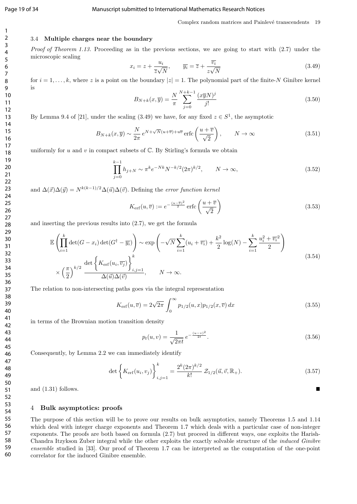#### Page 19 of 34 Manuscript submitted to International Mathematics Research Notices

## 3.4 Multiple charges near the boundary

Proof of Theorem 1.13. Proceeding as in the previous sections, we are going to start with (2.7) under the microscopic scaling

$$
x_i = z + \frac{u_i}{\overline{z}\sqrt{N}}, \qquad \overline{y_i} = \overline{z} + \frac{\overline{v_i}}{z\sqrt{N}}
$$
(3.49)

for  $i = 1, \ldots, k$ , where z is a point on the boundary  $|z| = 1$ . The polynomial part of the finite-N Ginibre kernel is

$$
B_{N+k}(x,\overline{y}) = \frac{N}{\pi} \sum_{j=0}^{N+k-1} \frac{(x\overline{y}N)^j}{j!}
$$
\n(3.50)

By Lemma 9.4 of [21], under the scaling (3.49) we have, for any fixed  $z \in S^1$ , the asymptotic

$$
B_{N+k}(x,\overline{y}) \sim \frac{N}{2\pi} e^{N+\sqrt{N}(u+\overline{v})+u\overline{v}} \operatorname{erfc}\left(\frac{u+\overline{v}}{\sqrt{2}}\right), \qquad N \to \infty
$$
 (3.51)

uniformly for  $u$  and  $v$  in compact subsets of  $\mathbb C$ . By Stirling's formula we obtain

$$
\prod_{j=0}^{k-1} h_{j+N} \sim \pi^k e^{-Nk} N^{-k/2} (2\pi)^{k/2}, \qquad N \to \infty,
$$
\n(3.52)

and  $\Delta(\vec{x})\Delta(\vec{y}) = N^{k(k-1)/2}\Delta(\vec{u})\Delta(\vec{v})$ . Defining the error function kernel

$$
K_{\text{erf}}(u,\overline{v}) := e^{-\frac{(u-\overline{v})^2}{2}} \operatorname{erfc}\left(\frac{u+\overline{v}}{\sqrt{2}}\right)
$$
\n(3.53)

and inserting the previous results into (2.7), we get the formula

$$
\mathbb{E}\left(\prod_{i=1}^{k}\det(G-x_{i})\det(G^{\dagger}-\overline{y_{i}})\right) \sim \exp\left(-\sqrt{N}\sum_{i=1}^{k}(u_{i}+\overline{v_{i}})+\frac{k^{2}}{2}\log(N)-\sum_{i=1}^{k}\frac{u_{i}^{2}+\overline{v_{i}}^{2}}{2}\right) \times \left(\frac{\pi}{2}\right)^{k/2} \frac{\det\left\{K_{\text{erf}}(u_{i},\overline{v_{j}})\right\}_{i,j=1}^{k}}{\Delta(\overrightarrow{u})\Delta(\overrightarrow{v})}, \qquad N \to \infty.
$$
\n(3.54)

The relation to non-intersecting paths goes via the integral representation

$$
K_{\rm erf}(u,\overline{v}) = 2\sqrt{2\pi} \int_0^\infty p_{1/2}(u,x)p_{1/2}(x,\overline{v}) dx
$$
\n(3.55)

in terms of the Brownian motion transition density

$$
p_t(u,v) = \frac{1}{\sqrt{2\pi t}} e^{-\frac{(u-v)^2}{2t}}.
$$
\n(3.56)

 $\blacksquare$ 

Consequently, by Lemma 2.2 we can immediately identify

$$
\det\left\{K_{\text{erf}}(u_i, v_j)\right\}_{i,j=1}^k = \frac{2^k (2\pi)^{k/2}}{k!} \mathcal{Z}_{1/2}(\vec{u}, \vec{v}, \mathbb{R}_+). \tag{3.57}
$$

and (1.31) follows.

#### 4 Bulk asymptotics: proofs

The purpose of this section will be to prove our results on bulk asymptotics, namely Theorems 1.5 and 1.14 which deal with integer charge exponents and Theorem 1.7 which deals with a particular case of non-integer exponents. The proofs are both based on formula (2.7) but proceed in different ways, one exploits the Harish-Chandra Itzykson Zuber integral while the other exploits the exactly solvable structure of the induced Ginibre ensemble studied in [33]. Our proof of Theorem 1.7 can be interpreted as the computation of the one-point correlator for the induced Ginibre ensemble.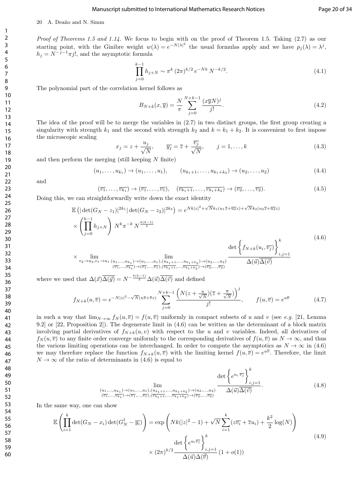#### Manuscript submitted to International Mathematics Research Notices Page 20 of 34

#### 20 A. Deaño and N. Simm

Proof of Theorems 1.5 and 1.14. We focus to begin with on the proof of Theorem 1.5. Taking (2.7) as our starting point, with the Ginibre weight  $w(\lambda) = e^{-N|\lambda|^2}$  the usual formulas apply and we have  $p_j(\lambda) = \lambda^j$ ,  $h_j = N^{-j-1}\pi j!$ , and the asymptotic formula

$$
\prod_{j=0}^{k-1} h_{j+N} \sim \pi^k (2\pi)^{k/2} e^{-Nk} N^{-k/2}.
$$
\n(4.1)

The polynomial part of the correlation kernel follows as

$$
B_{N+k}(x,\overline{y}) = \frac{N}{\pi} \sum_{j=0}^{N+k-1} \frac{(x\overline{y}N)^j}{j!}.
$$
\n(4.2)

The idea of the proof will be to merge the variables in (2.7) in two distinct groups, the first group creating a singularity with strength  $k_1$  and the second with strength  $k_2$  and  $k = k_1 + k_2$ . It is convenient to first impose the microscopic scaling

$$
x_j = z + \frac{u_j}{\sqrt{N}}, \qquad \overline{y_j} = \overline{z} + \frac{\overline{v_j}}{\sqrt{N}}, \qquad j = 1, \dots, k
$$
\n(4.3)

and then perform the merging (still keeping  $N$  finite)

$$
(u_1, \ldots, u_{k_1}) \to (u_1, \ldots, u_1), \qquad (u_{k_1+1}, \ldots, u_{k_1+k_2}) \to (u_2, \ldots, u_2)
$$
\n
$$
(4.4)
$$

and

$$
(\overline{v_1}, \dots, \overline{v_{k_1}}) \to (\overline{v_1}, \dots, \overline{v_1}), \quad (\overline{v_{k_1+1}}, \dots, \overline{v_{k_1+k_2}}) \to (\overline{v_2}, \dots, \overline{v_2}).
$$
\n(4.5)

Doing this, we can straightforwardly write down the exact identity

$$
\mathbb{E} \left( |\det(G_N - z_1)|^{2k_1} |\det(G_N - z_2)|^{2k_2} \right) = e^{Nk|z|^2 + \sqrt{N}k_1(u_1 \bar{z} + \bar{u_2} z) + \sqrt{N}k_2(u_2 \bar{z} + \bar{u_2} z)} \times \left( \prod_{j=0}^{k-1} h_{j+N} \right) N^k \pi^{-k} N^{\frac{k(k-1)}{2}} \times \lim_{v_2 \to u_2, v_1 \to u_1} \lim_{\substack{(u_1, \dots, u_{k_1}) \to (u_1, \dots, u_1), (u_{k_1+1}, \dots, u_{k_1+k_2}) \to (u_2, \dots, u_2) \\ (\bar{v}_1, \dots, \bar{v}_{k_1}) \to (\bar{v}_1, \dots, \bar{v}_1), (\bar{v}_{k_1+1}, \dots, \bar{v}_{k_1+k_2}) \to (\bar{v}_2, \dots, \bar{v}_2)} \frac{\det \left\{ f_{N+k}(u_i, \bar{v}_j) \right\}_{i,j=1}^k}{\Delta(\vec{u}) \overline{\Delta(\vec{v})}}
$$
\n
$$
(4.6)
$$

where we used that  $\Delta(\vec{x})\overline{\Delta(\vec{y})} = N^{-\frac{k(k-1)}{2}}\Delta(\vec{u})\overline{\Delta(\vec{v})}$  and defined

$$
f_{N+k}(u,\overline{v}) = e^{-N|z|^2 - \sqrt{N}(u\overline{z} + \overline{v}z)} \sum_{j=0}^{N+k-1} \frac{\left(N(z + \frac{u}{\sqrt{N}})(\overline{z} + \frac{\overline{v}}{\sqrt{N}})\right)^j}{j!}, \qquad f(u,\overline{v}) = e^{u\overline{v}} \tag{4.7}
$$

in such a way that  $\lim_{N\to\infty} f_N(u,\overline{v}) = f(u,\overline{v})$  uniformly in compact subsets of u and v (see e.g. [21, Lemma 9.2] or [22, Proposition 2]). The degenerate limit in (4.6) can be written as the determinant of a block matrix involving partial derivatives of  $f_{N+k}(u, v)$  with respect to the u and v variables. Indeed, all derivatives of  $f_N(u, \overline{v})$  to any finite order converge uniformly to the corresponding derivatives of  $f(u, \overline{v})$  as  $N \to \infty$ , and thus the various limiting operations can be interchanged. In order to compute the asymptotics as  $N \to \infty$  in (4.6) we may therefore replace the function  $f_{N+k}(u, \overline{v})$  with the limiting kernel  $f(u, \overline{v}) = e^{u\overline{v}}$ . Therefore, the limit  $N \to \infty$  of the ratio of determinants in (4.6) is equal to

$$
\lim_{\substack{(u_1,\ldots,u_{k_1})\to(u_1,\ldots,u_1),(u_{k_1+1},\ldots,u_{k_1+k_2})\to(u_2,\ldots,u_2)\\(\overline{v_1},\ldots,\overline{v_{k_1}})\to(\overline{v_1},\ldots,\overline{v_1}),(\overline{v_{k_1+1}},\ldots,\overline{v_{k_1+k_2}})\to(\overline{v_2},\ldots,\overline{v_2})}} \frac{\det\left\{e^{u_i\,\overline{v_j}}\right\}_{i,j=1}^k}{\Delta(\vec{u})\overline{\Delta(\vec{v})}}.
$$
\n(4.8)

In the same way, one can show

$$
\mathbb{E}\left(\prod_{i=1}^{k}\det(G_N - x_i)\det(G_N^{\dagger} - \overline{y_i})\right) = \exp\left(Nk(|z|^2 - 1) + \sqrt{N}\sum_{i=1}^{k}(z\overline{v_i} + \overline{z}u_i) + \frac{k^2}{2}\log(N)\right)
$$
\n
$$
\det\left\{e^{u_i\overline{v_j}}\right\}_{i,j=1}^{k}
$$
\n
$$
\times (2\pi)^{k/2} \frac{\det\left\{e^{u_i\overline{v_j}}\right\}_{i,j=1}^{k}}{\Delta(\vec{u})\Delta(\vec{\vec{v})}} (1+o(1))
$$
\n(4.9)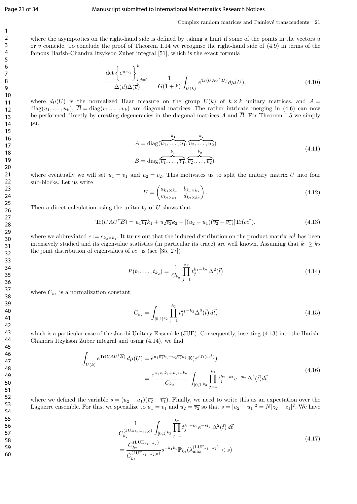#### Page 21 of 34 Manuscript submitted to International Mathematics Research Notices

Complex random matrices and Painlevé transcendents 21

where the asymptotics on the right-hand side is defined by taking a limit if some of the points in the vectors  $\vec{u}$ or  $\vec{v}$  coincide. To conclude the proof of Theorem 1.14 we recognise the right-hand side of (4.9) in terms of the famous Harish-Chandra Itzykson Zuber integral [51], which is the exact formula

$$
\frac{\det\left\{e^{u_i\overline{v}_j}\right\}_{i,j=1}^k}{\Delta(\vec{u})\Delta(\vec{\vec{v}})} = \frac{1}{G(1+k)}\int_{U(k)} e^{\text{Tr}(UAU^\dagger\overline{B})} d\mu(U),\tag{4.10}
$$

where  $d\mu(U)$  is the normalized Haar measure on the group  $U(k)$  of  $k \times k$  unitary matrices, and  $A =$  $diag(u_1, \ldots, u_k), \overline{B} = diag(\overline{v_1}, \ldots, \overline{v_k})$  are diagonal matrices. The rather intricate merging in (4.6) can now be performed directly by creating degeneracies in the diagonal matrices A and  $\overline{B}$ . For Theorem 1.5 we simply put

$$
A = \text{diag}(\overbrace{u_1, \dots, u_1}^{k_1}, \overbrace{u_2, \dots, u_2}^{k_2})
$$
  
\n
$$
\overline{B} = \text{diag}(\overbrace{\overbrace{v_1, \dots, v_1}^{k_1}, \overbrace{v_2, \dots, v_2}^{k_2}}^{k_2})
$$
\n(4.11)

where eventually we will set  $u_1 = v_1$  and  $u_2 = v_2$ . This motivates us to split the unitary matrix U into four sub-blocks. Let us write

$$
U = \begin{pmatrix} a_{k_1 \times k_1} & b_{k_1 \times k_2} \\ c_{k_2 \times k_1} & d_{k_2 \times k_2} \end{pmatrix} . \tag{4.12}
$$

Then a direct calculation using the unitarity of  $U$  shows that

$$
\text{Tr}(UAU^{\dagger}\overline{B}) = u_1\overline{v_1}k_1 + u_2\overline{v_2}k_2 - [(u_2 - u_1)(\overline{v_2} - \overline{v_1})]\text{Tr}(cc^{\dagger}).\tag{4.13}
$$

where we abbreviated  $c := c_{k_2 \times k_1}$ . It turns out that the induced distribution on the product matrix  $cc^{\dagger}$  has been intensively studied and its eigenvalue statistics (in particular its trace) are well known. Assuming that  $k_1 \geq k_2$ the joint distribution of eigenvalues of  $cc^{\dagger}$  is (see [35, 27])

$$
P(t_1, \ldots, t_{k_2}) = \frac{1}{C_{k_2}} \prod_{j=1}^{k_2} t_j^{k_1 - k_2} \Delta^2(\vec{t})
$$
\n(4.14)

where  $C_{k_2}$  is a normalization constant,

$$
C_{k_2} = \int_{[0,1]^{k_2}} \prod_{j=1}^{k_2} t_j^{k_1 - k_2} \Delta^2(\vec{t}) d\vec{t},
$$
\n(4.15)

which is a particular case of the Jacobi Unitary Ensemble (JUE). Consequently, inserting (4.13) into the Harish-Chandra Itzykson Zuber integral and using (4.14), we find

$$
\int_{U(k)} e^{\text{Tr}(UAU^{\dagger}\overline{B})} d\mu(U) = e^{u_1 \overline{v_1} k_1 + u_2 \overline{v_2} k_2} \mathbb{E}(e^{s \text{Tr}(cc^{\dagger})}).
$$
\n
$$
= \frac{e^{u_1 \overline{v_1} k_1 + u_2 \overline{v_2} k_2}}{C_{k_2}} \int_{[0,1]^{k_2}} \prod_{j=1}^{k_2} t_j^{k_2 - k_1} e^{-st_j} \Delta^2(\vec{t}) d\vec{t},
$$
\n(4.16)

where we defined the variable  $s = (u_2 - u_1)(\overline{v_2} - \overline{v_1})$ . Finally, we need to write this as an expectation over the Laguerre ensemble. For this, we specialize to  $u_1 = v_1$  and  $u_2 = \overline{v_2}$  so that  $s = |u_2 - u_1|^2 = N|z_2 - z_1|^2$ . We have

$$
\frac{1}{C_{k_2}^{(\text{JUE}_{k_1-k_2,0})}} \int_{[0,1]^{k_2}} \prod_{j=1}^{k_2} t_j^{k_1-k_2} e^{-st_j} \Delta^2(\vec{t}) d\vec{t}
$$
\n
$$
= \frac{C_{k_2}^{(\text{JUE}_{k_1-k_2})}}{C_{k_2}^{(\text{JUE}_{k_1-k_2,0})}} s^{-k_1 k_2} \mathbb{P}_{k_2}(\lambda_{\text{max}}^{(\text{LUE}_{k_1-k_2})} < s)
$$
\n
$$
(4.17)
$$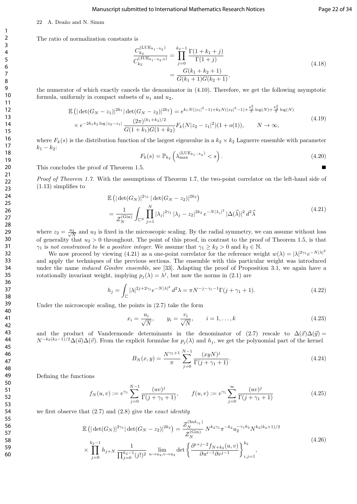#### Manuscript submitted to International Mathematics Research Notices Page 22 of 34

Е

The ratio of normalization constants is

22 A. Deaño and N. Simm

$$
\frac{C_{k_2}^{(\text{LUE}_{k_1-k_2})}}{C_{k_2}^{(\text{JUE}_{k_1-k_2,0})}} = \prod_{j=0}^{k_2-1} \frac{\Gamma(1+k_1+j)}{\Gamma(1+j)} \n= \frac{G(k_1+k_2+1)}{G(k_1+1)G(k_2+1)},
$$
\n(4.18)

the numerator of which exactly cancels the denominator in (4.10). Therefore, we get the following asymptotic formula, uniformly in compact subsets of  $u_1$  and  $u_2$ ,

$$
\mathbb{E}\left(|\det(G_N - z_1)|^{2k_1} |\det(G_N - z_2)|^{2k_2}\right) = e^{k_1 N(|z_1|^2 - 1) + k_2 N(|z_2|^2 - 1) + \frac{k_1^2}{2}\log(N) + \frac{k_2^2}{2}\log(N)} \times e^{-2k_1 k_2 \log|z_2 - z_1|} \frac{(2\pi)^{(k_1 + k_2)/2}}{G(1 + k_1)G(1 + k_2)} F_k(N|z_2 - z_1|^2)(1 + o(1)), \qquad N \to \infty,\tag{4.19}
$$

where  $F_k(s)$  is the distribution function of the largest eigenvalue in a  $k_2 \times k_2$  Laguerre ensemble with parameter  $k_1 - k_2$ :

$$
F_k(s) = \mathbb{P}_{k_2} \left( \lambda_{\max}^{(\text{LUE}_{k_1 - k_2})} < s \right). \tag{4.20}
$$

This concludes the proof of Theorem 1.5.

Proof of Theorem 1.7. With the assumptions of Theorem 1.7, the two-point correlator on the left-hand side of (1.13) simplifies to

$$
\mathbb{E}\left(|\det(G_N)|^{2\gamma_1}|\det(G_N - z_2)|^{2k_2}\right)
$$
\n
$$
= \frac{1}{\mathcal{Z}_N^{(\mathrm{Gin})}} \int_{\mathbb{C}^N} \prod_{j=1}^N |\lambda_j|^{2\gamma_1} |\lambda_j - z_2|^{2k_2} e^{-N|\lambda_j|^2} |\Delta(\vec{\lambda})|^2 d^2\vec{\lambda}
$$
\n(4.21)

where  $z_2 = \frac{u_2}{\sqrt{N}}$  and  $u_2$  is fixed in the microscopic scaling. By the radial symmetry, we can assume without loss of generality that  $u_2 > 0$  throughout. The point of this proof, in contrast to the proof of Theorem 1.5, is that  $\gamma_1$  is not constrained to be a positive integer. We assume that  $\gamma_1 \geq k_2 > 0$  and  $k_2 \in \mathbb{N}$ .

We now proceed by viewing (4.21) as a one-point correlator for the reference weight  $w(\lambda) = |\lambda|^{2\gamma_1} e^{-N|\lambda|^2}$ and apply the techniques of the previous sections. The ensemble with this particular weight was introduced under the name *induced Ginibre ensemble*, see [33]. Adapting the proof of Proposition 3.1, we again have a rotationally invariant weight, implying  $p_j(\lambda) = \lambda^j$ , but now the norms in (2.1) are

$$
h_j = \int_{\mathbb{C}} |\lambda|^{2j + 2\gamma_1} e^{-N|\lambda|^2} d^2\lambda = \pi N^{-j - \gamma_1 - 1} \Gamma(j + \gamma_1 + 1).
$$
 (4.22)

Under the microscopic scaling, the points in (2.7) take the form

$$
x_i = \frac{u_i}{\sqrt{N}}, \qquad y_i = \frac{v_i}{\sqrt{N}}, \qquad i = 1, \dots, k
$$
\n
$$
(4.23)
$$

and the product of Vandermonde determinants in the denominator of (2.7) rescale to  $\Delta(\vec{x})\Delta(\vec{y}) =$  $N^{-k_2(k_2-1)/2}\Delta(\vec{u})\Delta(\vec{v})$ . From the explicit formulae for  $p_j(\lambda)$  and  $h_j$ , we get the polynomial part of the kernel

$$
B_N(x,y) = \frac{N^{\gamma_1+1}}{\pi} \sum_{j=0}^{N-1} \frac{(xyN)^j}{\Gamma(j+\gamma_1+1)}.
$$
\n(4.24)

Defining the functions

$$
f_N(u,v) := v^{\gamma_1} \sum_{j=0}^{N-1} \frac{(uv)^j}{\Gamma(j+\gamma_1+1)}, \qquad f(u,v) := v^{\gamma_1} \sum_{j=0}^{\infty} \frac{(uv)^j}{\Gamma(j+\gamma_1+1)}
$$
(4.25)

we first observe that  $(2.7)$  and  $(2.8)$  give the *exact identity* 

$$
\mathbb{E}\left(|\det(G_N)|^{2\gamma_1}|\det(G_N - z_2)|^{2k_2}\right) = \frac{\mathcal{Z}_N^{\text{(Ind}_{\gamma_1})}}{\mathcal{Z}_N^{\text{(Gin)}}} N^{k_2\gamma_1} \pi^{-k_2} u_2^{-\gamma_1 k_2} N^{k_2(k_2+1)/2}
$$
\n
$$
\times \prod_{j=0}^{k_2-1} h_{j+N} \frac{1}{\prod_{j=0}^{k_2-1} (j!)^2} \lim_{u \to u_2, v \to u_2} \det\left\{\frac{\partial^{i+j-2} f_{N+k_2}(u,v)}{\partial u^{i-1} \partial v^{j-1}}\right\}_{i,j=1}^{k_2},\tag{4.26}
$$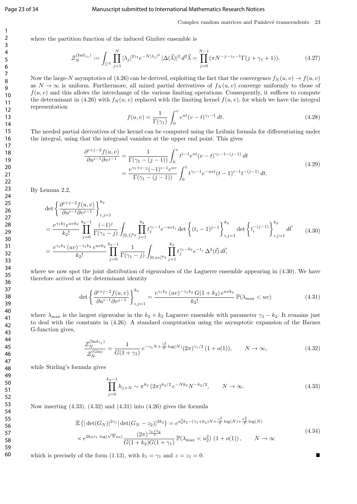#### Page 23 of 34 Manuscript submitted to International Mathematics Research Notices

#### Complex random matrices and Painlevé transcendents 23

where the partition function of the induced Ginibre ensemble is

$$
\mathcal{Z}_N^{(\text{Ind}_{\gamma_1})} := \int_{\mathbb{C}^N} \prod_{j=1}^N |\lambda_j|^{2\gamma_1} e^{-N|\lambda_j|^2} |\Delta(\vec{\lambda})|^2 d^2 \vec{\lambda} = \prod_{j=0}^{N-1} (\pi N^{-j-\gamma_1-1} \Gamma(j+\gamma_1+1)). \tag{4.27}
$$

Now the large-N asymptotics of (4.26) can be derived, exploiting the fact that the convergence  $f_N(u, v) \to f(u, v)$ as  $N \to \infty$  is uniform. Furthermore, all mixed partial derivatives of  $f_N(u, v)$  converge uniformly to those of  $f(u, v)$  and this allows the interchange of the various limiting operations. Consequently, it suffices to compute the determinant in (4.26) with  $f_N(u, v)$  replaced with the limiting kernel  $f(u, v)$ , for which we have the integral representation

$$
f(u,v) = \frac{1}{\Gamma(\gamma_1)} \int_0^v e^{ut} (v-t)^{\gamma_1 - 1} dt.
$$
 (4.28)

The needed partial derivatives of the kernel can be computed using the Leibniz formula for differentiating under the integral, using that the integrand vanishes at the upper end point. This gives

$$
\frac{\partial^{i+j-2} f(u,v)}{\partial u^{i-1} \partial v^{j-1}} = \frac{1}{\Gamma(\gamma_1 - (j-1))} \int_0^v t^{i-1} e^{ut} (v-t)^{\gamma_1 - 1 - (j-1)} dt
$$
\n
$$
= \frac{v^{\gamma_1 + i - j}(-1)^{i-1} e^{uv}}{\Gamma(\gamma_1 - (j-1))} \int_0^1 t^{\gamma_1 - 1} e^{-uvt} (t-t)^{i-1} t^{-(j-1)} dt.
$$
\n(4.29)

By Lemma 2.2,

$$
\det \left\{ \frac{\partial^{i+j-2} f(u,v)}{\partial u^{i-1} \partial v^{j-1}} \right\}_{i,j=1}^{k_2}
$$
\n
$$
= \frac{v^{\gamma_1 k_2} e^{uv k_2}}{k_2!} \prod_{j=0}^{k_2-1} \frac{(-1)^j}{\Gamma(\gamma_1 - j)} \int_{[0,1]^{k_2}} \prod_{j=1}^{k_2} t_j^{\gamma_1 - 1} e^{-uv t_j} \det \left\{ (t_i - 1)^{j-1} \right\}_{i,j=1}^{k_2} \det \left\{ t_i^{-(j-1)} \right\}_{i,j=1}^{k_2} d\vec{t} \qquad (4.30)
$$
\n
$$
= \frac{v^{\gamma_1 k_2} (uv)^{-\gamma_1 k_2} e^{uv k_2}}{k_2!} \prod_{j=0}^{k_2-1} \frac{1}{\Gamma(\gamma_1 - j)} \int_{[0,uv]^{k_2}} \prod_{j=1}^{k_2} t_j^{\gamma_1 - k_2} e^{-t_j} \Delta^2(\vec{t}) d\vec{t},
$$

where we now spot the joint distribution of eigenvalues of the Laguerre ensemble appearing in  $(4.30)$ . We have therefore arrived at the determinant identity

$$
\det \left\{ \frac{\partial^{i+j-2} f(u,v)}{\partial u^{i-1} \partial v^{j-1}} \right\}_{i,j=1}^k = \frac{v^{\gamma_1 k_2} (uv)^{-\gamma_1 k_2} G(1+k_2) e^{uvk_2}}{k_2!} \mathbb{P}(\lambda_{\text{max}} < uv) \tag{4.31}
$$

where  $\lambda_{\text{max}}$  is the largest eigenvalue in the  $k_2 \times k_2$  Laguerre ensemble with parameter  $\gamma_1 - k_2$ . It remains just to deal with the constants in (4.26). A standard computation using the asymptotic expansion of the Barnes G-function gives,

$$
\frac{\mathcal{Z}_N^{\text{(Ind}_{\gamma_1})}}{\mathcal{Z}_N^{\text{(Gin)}}} = \frac{1}{G(1+\gamma_1)} e^{-\gamma_1 N + \frac{\gamma_1^2}{2} \log(N)} (2\pi)^{\gamma_1/2} (1+o(1)), \qquad N \to \infty,
$$
\n(4.32)

while Stirling's formula gives

$$
\prod_{j=0}^{k_2-1} h_{j+N} \sim \pi^{k_2} (2\pi)^{k_2/2} e^{-Nk_2} N^{-k_2/2}, \qquad N \to \infty.
$$
 (4.33)

Now inserting  $(4.33)$ ,  $(4.32)$  and  $(4.31)$  into  $(4.26)$  gives the formula

$$
\mathbb{E}\left(|\det(G_N)|^{2\gamma_1}|\det(G_N - z_2)|^{2k_2}\right) = e^{u_2^2 k_2 - (\gamma_1 + k_2)N + \frac{\gamma_1^2}{2}\log(N) + \frac{k_2^2}{2}\log(N)}
$$
\n
$$
\times e^{2k_2 \gamma_1 \log(\sqrt{N}u_2)} \frac{(2\pi)^{\frac{\gamma_1 + k_2}{2}}}{G(1 + k_2)G(1 + \gamma_1)} \mathbb{P}(\lambda_{\max} < u_2^2) (1 + o(1)), \qquad N \to \infty
$$
\n
$$
(4.34)
$$

which is precisely of the form (1.13), with  $k_1 = \gamma_1$  and  $z = z_1 = 0$ .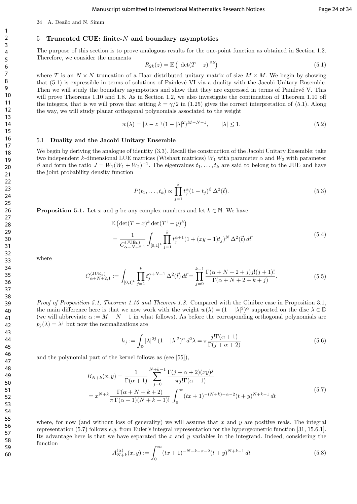24 A. Deaño and N. Simm

#### 5 Truncated CUE: finite- $N$  and boundary asymptotics

The purpose of this section is to prove analogous results for the one-point function as obtained in Section 1.2. Therefore, we consider the moments

$$
R_{2k}(z) = \mathbb{E}\left(|\det(T-z)|^{2k}\right) \tag{5.1}
$$

where T is an  $N \times N$  truncation of a Haar distributed unitary matrix of size  $M \times M$ . We begin by showing that (5.1) is expressible in terms of solutions of Painlev´e VI via a duality with the Jacobi Unitary Ensemble. Then we will study the boundary asymptotics and show that they are expressed in terms of Painlevé V. This will prove Theorems 1.10 and 1.8. As in Section 1.2, we also investigate the continuation of Theorem 1.10 off the integers, that is we will prove that setting  $k = \gamma/2$  in (1.25) gives the correct interpretation of (5.1). Along the way, we will study planar orthogonal polynomials associated to the weight

$$
w(\lambda) = |\lambda - z|^{\gamma} (1 - |\lambda|^2)^{M - N - 1}, \qquad |\lambda| \le 1.
$$
\n
$$
(5.2)
$$

#### 5.1 Duality and the Jacobi Unitary Ensemble

We begin by deriving the analogue of identity (3.3). Recall the construction of the Jacobi Unitary Ensemble: take two independent k-dimensional LUE matrices (Wishart matrices)  $W_1$  with parameter  $\alpha$  and  $W_2$  with parameter  $\beta$  and form the ratio  $J = W_1(W_1 + W_2)^{-1}$ . The eigenvalues  $t_1, \ldots, t_k$  are said to belong to the JUE and have the joint probability density function

$$
P(t_1, ..., t_k) \propto \prod_{j=1}^k t_j^{\alpha} (1 - t_j)^{\beta} \Delta^2(\vec{t}).
$$
\n(5.3)

**Proposition 5.1.** Let x and y be any complex numbers and let  $k \in \mathbb{N}$ . We have

$$
\mathbb{E}\left(\det(T-x)^k \det(T^{\dagger} - y)^k\right) \n= \frac{1}{C_{\alpha+N+2,1}^{(JUE_k)}} \int_{[0,1]^k} \prod_{j=1}^k t_j^{\alpha+1} (1 + (xy - 1)t_j)^N \Delta^2(\vec{t}) d\vec{t}
$$
\n(5.4)

where

$$
C_{\alpha+N+2,1}^{(\text{JUE}_k)} := \int_{[0,1]^k} \prod_{j=1}^k t_j^{\alpha+N+1} \Delta^2(\vec{t}) d\vec{t} = \prod_{j=0}^{k-1} \frac{\Gamma(\alpha+N+2+j)j!(j+1)!}{\Gamma(\alpha+N+2+k+j)}.
$$
 (5.5)

Proof of Proposition 5.1, Theorem 1.10 and Theorem 1.8. Compared with the Ginibre case in Proposition 3.1, the main difference here is that we now work with the weight  $w(\lambda) = (1 - |\lambda|^2)^\alpha$  supported on the disc  $\lambda \in \mathbb{D}$ (we will abbreviate  $\alpha := M - N - 1$  in what follows). As before the corresponding orthogonal polynomials are  $p_j(\lambda) = \lambda^j$  but now the normalizations are

$$
h_j := \int_{\mathbb{D}} |\lambda|^{2j} (1 - |\lambda|^2)^{\alpha} d^2 \lambda = \pi \frac{j! \Gamma(\alpha + 1)}{\Gamma(j + \alpha + 2)}
$$
(5.6)

and the polynomial part of the kernel follows as (see [55]),

$$
B_{N+k}(x,y) = \frac{1}{\Gamma(\alpha+1)} \sum_{j=0}^{N+k-1} \frac{\Gamma(j+\alpha+2)(xy)^j}{\pi j! \Gamma(\alpha+1)}
$$
  
=  $x^{N+k} \frac{\Gamma(\alpha+N+k+2)}{\pi \Gamma(\alpha+1)(N+k-1)!} \int_0^\infty (tx+1)^{-(N+k)-\alpha-2} (t+y)^{N+k-1} dt$  (5.7)

where, for now (and without loss of generality) we will assume that  $x$  and  $y$  are positive reals. The integral representation (5.7) follows e.g. from Euler's integral representation for the hypergeometric function [31, 15.6.1]. Its advantage here is that we have separated the x and y variables in the integrand. Indeed, considering the function

$$
A_{N+k}^{(\alpha)}(x,y) := \int_0^\infty (tx+1)^{-N-k-\alpha-2}(t+y)^{N+k-1} dt
$$
\n(5.8)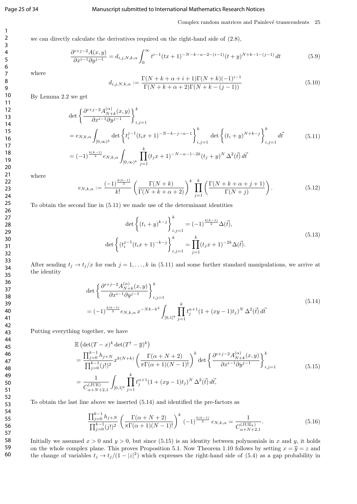#### Page 25 of 34 Manuscript submitted to International Mathematics Research Notices

#### Complex random matrices and Painlevé transcendents 25

we can directly calculate the derivatives required on the right-hand side of (2.8),

$$
\frac{\partial^{i+j-2}A(x,y)}{\partial x^{i-1}\partial y^{j-1}} = d_{i,j,N,k,\alpha} \int_0^\infty t^{i-1} (tx+1)^{-N-k-\alpha-2-(i-1)} (t+y)^{N+k-1-(j-1)} dt \tag{5.9}
$$

where

$$
d_{i,j,N,k,\alpha} := \frac{\Gamma(N+k+\alpha+i+1)\Gamma(N+k)(-1)^{i-1}}{\Gamma(N+k+\alpha+2)\Gamma(N+k-(j-1))}
$$
(5.10)

By Lemma 2.2 we get

$$
\det \left\{ \frac{\partial^{i+j-2} A_{N+k}^{(\alpha)}(x,y)}{\partial x^{i-1} \partial y^{j-1}} \right\}_{i,j=1}^k
$$
\n
$$
= e_{N,k,\alpha} \int_{[0,\infty)^k} \det \left\{ t_i^{j-1} (t_i x + 1)^{-N-k-j-\alpha-1} \right\}_{i,j=1}^k \det \left\{ (t_i + y)^{N+k-j} \right\}_{i,j=1}^k d\vec{t}
$$
\n
$$
= (-1)^{\frac{k(k-1)}{2}} e_{N,k,\alpha} \int_{[0,\infty)^k} \prod_{j=1}^k (t_j x + 1)^{-N-\alpha-1-2k} (t_j + y)^N \Delta^2(\vec{t}) d\vec{t}
$$
\n
$$
(5.11)
$$

where

$$
e_{N,k,\alpha} := \frac{(-1)^{\frac{k(k-1)}{2}}}{k!} \left( \frac{\Gamma(N+k)}{\Gamma(N+k+\alpha+2)} \right)^k \prod_{j=1}^k \left( \frac{\Gamma(N+k+\alpha+j+1)}{\Gamma(N+j)} \right). \tag{5.12}
$$

To obtain the second line in (5.11) we made use of the determinant identities

$$
\det \left\{ (t_i + y)^{k-j} \right\}_{i,j=1}^k = (-1)^{\frac{k(k-1)}{2}} \Delta(\vec{t}),
$$
  

$$
\det \left\{ (t_i^{j-1}(t_i x + 1)^{-k-j} \right\}_{i,j=1}^k = \prod_{j=1}^k (t_j x + 1)^{-2k} \Delta(\vec{t}).
$$
 (5.13)

After sending  $t_j \to t_j/x$  for each  $j = 1, ..., k$  in (5.11) and some further standard manipulations, we arrive at the identity

$$
\det \left\{ \frac{\partial^{i+j-2} A_{N+k}^{(\alpha)}(x,y)}{\partial x^{i-1} \partial y^{j-1}} \right\}_{i,j=1}^k
$$
\n
$$
= (-1)^{\frac{k(k-1)}{2}} e_{N,k,\alpha} x^{-Nk-k^2} \int_{[0,1]^k} \prod_{j=1}^k t_j^{\alpha+1} (1+(xy-1)t_j)^N \Delta^2(\vec{t}) d\vec{t}
$$
\n
$$
(5.14)
$$

Putting everything together, we have

$$
\mathbb{E}\left(\det(T-x)^{k}\det(T^{\dagger}-\overline{y})^{k}\right)
$$
\n
$$
=\frac{\prod_{j=0}^{k-1}h_{j+N}}{\prod_{j=0}^{k-1}(j!)^{2}}x^{k(N+k)}\left(\frac{\Gamma(\alpha+N+2)}{\pi\Gamma(\alpha+1)(N-1)!}\right)^{k}\det\left\{\frac{\partial^{i+j-2}A_{N+k}^{(\alpha)}(x,y)}{\partial x^{i-1}\partial y^{j-1}}\right\}_{i,j=1}^{k}
$$
\n
$$
=\frac{1}{C_{\alpha+N+2,1}^{(\text{JUE})}}\int_{[0,1]^{k}}\prod_{j=1}^{k}t_{j}^{\alpha+1}(1+(xy-1)t_{j})^{N}\Delta^{2}(\vec{t})\,d\vec{t},\tag{5.15}
$$

To obtain the last line above we inserted (5.14) and identified the pre-factors as

$$
\frac{\prod_{j=0}^{k-1} h_{j+N}}{\prod_{j=0}^{k-1} (j!)^2} \left( \frac{\Gamma(\alpha+N+2)}{\pi \Gamma(\alpha+1)(N-1)!} \right)^k (-1)^{\frac{k(k-1)}{2}} e_{N,k,\alpha} = \frac{1}{C_{\alpha+N+2,1}^{(\text{JUE}_k)}}.
$$
\n(5.16)

Initially we assumed  $x > 0$  and  $y > 0$ , but since (5.15) is an identity between polynomials in x and y, it holds on the whole complex plane. This proves Proposition 5.1. Now Theorem 1.10 follows by setting  $x = \overline{y} = z$  and the change of variables  $t_j \to t_j/(1-|z|^2)$  which expresses the right-hand side of (5.4) as a gap probability in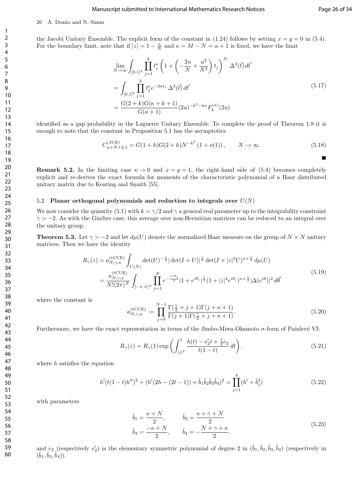### 26 A. Deaño and N. Simm

the Jacobi Unitary Ensemble. The explicit form of the constant in (1.24) follows by setting  $x = y = 0$  in (5.4). For the boundary limit, note that if  $|z| = 1 - \frac{u}{N}$  and  $\kappa = M - N = \alpha + 1$  is fixed, we have the limit

$$
\lim_{N \to \infty} \int_{[0,1]^k} \prod_{j=1}^k t_j^{\kappa} \left( 1 + \left( -\frac{2u}{N} + \frac{u^2}{N^2} \right) t_j \right)^N \Delta^2(\vec{t}) d\vec{t}
$$
\n
$$
= \int_{[0,1]^k} \prod_{j=1}^k t_j^{\kappa} e^{-2ut_j} \Delta^2(\vec{t}) d\vec{t}
$$
\n
$$
= \frac{G(2+k)G(\kappa + k + 1)}{G(\kappa + 1)} (2u)^{-k^2 - k\kappa} F_k^{(\kappa)}(2u)
$$
\n(5.17)

identified as a gap probability in the Laguerre Unitary Ensemble. To complete the proof of Theorem 1.8 it is enough to note that the constant in Proposition 5.1 has the asymptotics

$$
C_{\alpha+N+2,1}^{(\text{JUE})} = G(1+k)G(2+k)N^{-k^2} (1+o(1)), \qquad N \to \infty.
$$
 (5.18)

**Remark 5.2.** In the limiting case  $\kappa \to 0$  and  $x = y = 1$ , the right-hand side of (5.4) becomes completely explicit and re-derives the exact formula for moments of the characteristic polynomial of a Haar distributed unitary matrix due to Keating and Snaith [55].

#### 5.2 Planar orthogonal polynomials and reduction to integrals over  $U(N)$

We now consider the quantity (5.1) with  $k = \gamma/2$  and  $\gamma$  a general real parameter up to the integrability constraint  $\gamma > -2$ . As with the Ginibre case, this average over non-Hermitian matrices can be reduced to an integral over the unitary group.

**Theorem 5.3.** Let  $\gamma > -2$  and let  $d\mu(U)$  denote the normalized Haar measure on the group of  $N \times N$  unitary matrices. Then we have the identity

$$
R_{\gamma}(z) = a_{N,\gamma,\kappa}^{(\text{tCUE})} \int_{U(N)} \det(U)^{-\frac{\gamma}{4}} |\det(I+U)|^{\frac{\gamma}{2}} \det(I+|z|^{2}U)^{\kappa+\frac{\gamma}{2}} d\mu(U)
$$
  
= 
$$
\frac{a_{N,\gamma,\kappa}^{(\text{tCUE})}}{N!(2\pi)^{N}} \int_{[-\pi,\pi]^{N}} \prod_{j=1}^{N} e^{-\frac{i\gamma\theta_{j}}{4}} |1+e^{i\theta_{j}}|^{\frac{\gamma}{2}} (1+|z|^{2}e^{i\theta_{j}})^{\kappa+\frac{\gamma}{2}} |\Delta(e^{i\theta})|^{2} d\vec{\theta}
$$
(5.19)

where the constant is

$$
a_{N,\gamma,\kappa}^{(\text{tCUE})} := \prod_{j=0}^{N-1} \frac{\Gamma(\frac{\gamma}{2} + j + 1)\Gamma(j + \kappa + 1)}{\Gamma(j + 1)\Gamma(\frac{\gamma}{2} + j + \kappa + 1)}.
$$
\n(5.20)

Furthermore, we have the exact representation in terms of the Jimbo-Miwa-Okamoto  $\sigma$ -form of Painlevé VI:

$$
R_{\gamma}(z) = R_{\gamma}(1) \exp\left(\int_{|z|^2}^{1} \frac{h(t) - e_2' t + \frac{1}{2} e_2}{t(1-t)} dt\right).
$$
 (5.21)

where  $h$  satisfies the equation

$$
h'(t(1-t)h'')^{2} + (h'(2h - (2t - 1)) + \tilde{b}_{1}\tilde{b}_{2}\tilde{b}_{3}\tilde{b}_{4})^{2} = \prod_{j=1}^{4} (h' + \tilde{b}_{j}^{2})
$$
\n(5.22)

with parameters

$$
\tilde{b}_1 = \frac{\kappa + N}{2}, \qquad \tilde{b}_2 = \frac{\kappa + \gamma + N}{2}
$$
\n
$$
\tilde{b}_3 = \frac{-\kappa + N}{2}, \qquad \tilde{b}_4 = -\frac{N + \gamma + \kappa}{2}.
$$
\n(5.23)

and  $e_2$  (respectively  $e'_2$ ) is the elementary symmetric polynomial of degree 2 in  $(\tilde{b}_1, \tilde{b}_2, \tilde{b}_3, \tilde{b}_4)$  (respectively in  $(\tilde{b}_1, \tilde{b}_3, \tilde{b}_4)).$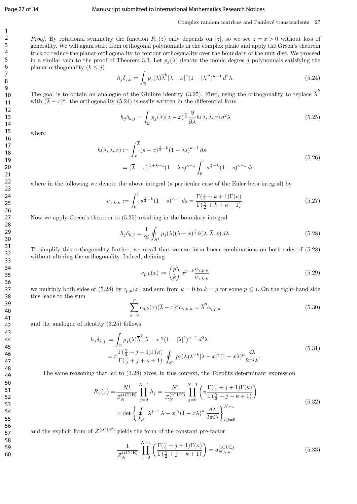#### Page 27 of 34 Manuscript submitted to International Mathematics Research Notices

Complex random matrices and Painlevé transcendents 27

*Proof.* By rotational symmetry the function  $R_{\gamma}(z)$  only depends on |z|, so we set  $z = x > 0$  without loss of generality. We will again start from orthogonal polynomials in the complex plane and apply the Green's theorem trick to reduce the planar orthogonality to contour orthogonality over the boundary of the unit disc. We proceed in a similar vein to the proof of Theorem 3.3. Let  $p_j(\lambda)$  denote the monic degree j polynomials satisfying the planar orthogonality  $(k \leq j)$ 

$$
h_j \delta_{j,k} = \int_{\mathbb{D}} p_j(\lambda) \overline{\lambda}^k |\lambda - x|^\gamma (1 - |\lambda|^2)^{\kappa - 1} d^2 \lambda. \tag{5.24}
$$

The goal is to obtain an analogue of the Ginibre identity (3.25). First, using the orthogonality to replace  $\bar{\lambda}^k$ with  $(\overline{\lambda} - x)^k$ , the orthogonality (5.24) is easily written in the differential form

$$
h_j \delta_{k,j} = \int_{\mathbb{D}} p_j(\lambda) (\lambda - x)^{\frac{\gamma}{2}} \frac{\partial}{\partial \overline{\lambda}} h(\lambda, \overline{\lambda}, x) d^2 \lambda \tag{5.25}
$$

where

$$
h(\lambda, \overline{\lambda}, x) := \int_x^{\overline{\lambda}} (s - x)^{\frac{\gamma}{2} + k} (1 - \lambda s)^{\kappa - 1} ds.
$$
  
=  $(\overline{\lambda} - x)^{\frac{\gamma}{2} + k + 1} (1 - \lambda x)^{\kappa - 1} \int_0^1 s^{\frac{\gamma}{2} + k} (1 - s)^{\kappa - 1} ds$  (5.26)

where in the following we denote the above integral (a particular case of the Euler beta integral) by

$$
c_{\gamma,k,\kappa} := \int_0^1 s^{\frac{\gamma}{2} + k} (1 - s)^{\kappa - 1} ds = \frac{\Gamma(\frac{\gamma}{2} + k + 1)\Gamma(\kappa)}{\Gamma(\frac{\gamma}{2} + k + \kappa + 1)}.
$$
 (5.27)

Now we apply Green's theorem to (5.25) resulting in the boundary integral

$$
h_j \delta_{k,j} = \frac{1}{2i} \oint_{S^1} p_j(\lambda) (\lambda - x)^{\frac{\gamma}{2}} h(\lambda, \overline{\lambda}, x) d\lambda.
$$
 (5.28)

To simplify this orthogonality further, we recall that we can form linear combinations on both sides of (5.28) without altering the orthogonality. Indeed, defining

$$
c_{p,k}(x) := \binom{p}{k} x^{p-k} \frac{c_{\gamma,p,\kappa}}{c_{\gamma,k,\kappa}} \tag{5.29}
$$

we multiply both sides of (5.28) by  $c_{p,k}(x)$  and sum from  $k = 0$  to  $k = p$  for some  $p \leq j$ . On the right-hand side this leads to the sum

$$
\sum_{k=0}^{p} c_{p,k}(x) (\overline{\lambda} - x)^k c_{\gamma,k,\kappa} = \overline{\lambda}^p c_{\gamma,p,\kappa}
$$
\n(5.30)

and the analogue of identity (3.25) follows,

$$
h_j \delta_{k,j} := \int_{\mathbb{D}} p_j(\lambda) \overline{\lambda}^k |\lambda - x|^\gamma (1 - |\lambda|^2)^{\kappa - 1} d^2 \lambda
$$
  
= 
$$
\pi \frac{\Gamma(\frac{\gamma}{2} + j + 1)\Gamma(\kappa)}{\Gamma(\frac{\gamma}{2} + j + \kappa + 1)} \oint_{S^1} p_j(\lambda) \lambda^{-k} |\lambda - x|^\gamma (1 - x\lambda)^\kappa \frac{d\lambda}{2\pi i \lambda}.
$$
 (5.31)

The same reasoning that led to (3.28) gives, in this context, the Toeplitz determinant expression

$$
R_{\gamma}(x) = \frac{N!}{\mathcal{Z}_{N}^{(\text{tCUE})}} \prod_{j=0}^{N-1} h_{j} = \frac{N!}{\mathcal{Z}_{N}^{(\text{tCUE})}} \prod_{j=0}^{N-1} \left( \pi \frac{\Gamma(\frac{\gamma}{2} + j + 1)\Gamma(\kappa)}{\Gamma(\frac{\gamma}{2} + j + \kappa + 1)} \right)
$$
  
 
$$
\times \det \left\{ \oint_{S^{1}} \lambda^{j-i} |\lambda - x|^{\gamma} (1 - x\lambda)^{\kappa} \frac{d\lambda}{2\pi i\lambda} \right\}_{i,j=0}^{N-1}
$$
(5.32)

and the explicit form of  $\mathcal{Z}^{(\text{tCUE})}$  yields the form of the constant pre-factor

$$
\frac{1}{\mathcal{Z}_N^{\text{(tCUE)}}} \prod_{j=0}^{N-1} \left( \frac{\Gamma(\frac{\gamma}{2} + j + 1)\Gamma(\kappa)}{\Gamma(\frac{\gamma}{2} + j + \kappa + 1)} \right) = a_{N,\gamma,\kappa}^{\text{(tCUE)}} \tag{5.33}
$$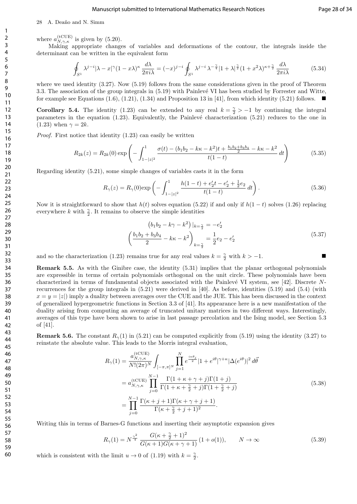#### 28 A. Deaño and N. Simm

where  $a_{N,\gamma,\kappa}^{(\text{tCUE})}$  is given by (5.20).

Making appropriate changes of variables and deformations of the contour, the integrals inside the determinant can be written in the equivalent form

$$
\oint_{S^1} \lambda^{j-i} |\lambda - x|^\gamma (1 - x\lambda)^\kappa \frac{d\lambda}{2\pi i\lambda} = (-x)^{j-i} \oint_{S^1} \lambda^{j-i} \lambda^{-\frac{\gamma}{4}} |1 + \lambda|^{\frac{\gamma}{2}} (1 + x^2\lambda)^{\kappa + \frac{\gamma}{2}} \frac{d\lambda}{2\pi i\lambda}
$$
(5.34)

where we used identity  $(3.27)$ . Now  $(5.19)$  follows from the same considerations given in the proof of Theorem 3.3. The association of the group integrals in (5.19) with Painlevé VI has been studied by Forrester and Witte, for example see Equations  $(1.6)$ ,  $(1.21)$ ,  $(1.34)$  and Proposition 13 in [41], from which identity  $(5.21)$  follows.

**Corollary 5.4.** The identity (1.23) can be extended to any real  $k = \frac{\gamma}{2} > -1$  by continuing the integral parameters in the equation  $(1.23)$ . Equivalently, the Painlevé characterization  $(5.21)$  reduces to the one in  $(1.23)$  when  $\gamma = 2k$ .

Proof. First notice that identity  $(1.23)$  can easily be written

$$
R_{2k}(z) = R_{2k}(0) \exp\left(-\int_{1-|z|^2}^{1} \frac{\sigma(t) - (b_1b_2 - k\kappa - k^2)t + \frac{b_1b_2 + b_3b_4}{2} - k\kappa - k^2}{t(1-t)} dt\right)
$$
(5.35)

Regarding identity (5.21), some simple changes of variables casts it in the form

$$
R_{\gamma}(z) = R_{\gamma}(0) \exp\left(-\int_{1-|z|^2}^{1} \frac{h(1-t) + e_2' t - e_2' + \frac{1}{2} e_2}{t(1-t)} dt\right).
$$
 (5.36)

Now it is straightforward to show that  $h(t)$  solves equation (5.22) if and only if  $h(1-t)$  solves (1.26) replacing everywhere k with  $\frac{\gamma}{2}$ . It remains to observe the simple identities

$$
(b_1b_2 - k\gamma - k^2)|_{k=\frac{\gamma}{2}} = -e'_2
$$
  

$$
\left(\frac{b_1b_2 + b_3b_4}{2} - k\kappa - k^2\right)_{k=\frac{\gamma}{2}} = \frac{1}{2}e_2 - e'_2
$$
 (5.37)

and so the characterization (1.23) remains true for any real values  $k = \frac{\gamma}{2}$  with  $k > -1$ .

Remark 5.5. As with the Ginibre case, the identity (5.31) implies that the planar orthogonal polynomials are expressible in terms of certain polynomials orthogonal on the unit circle. These polynomials have been characterized in terms of fundamental objects associated with the Painlevé VI system, see [42]. Discrete  $N$ recurrences for the group integrals in (5.21) were derived in [40]. As before, identities (5.19) and (5.4) (with  $x = y = |z|$ ) imply a duality between averages over the CUE and the JUE. This has been discussed in the context of generalized hypergeometric functions in Section 3.3 of [41]. Its appearance here is a new manifestation of the duality arising from computing an average of truncated unitary matrices in two different ways. Interestingly, averages of this type have been shown to arise in last passage percolation and the Ising model, see Section 5.3 of [41].

**Remark 5.6.** The constant  $R_{\gamma}(1)$  in (5.21) can be computed explicitly from (5.19) using the identity (3.27) to reinstate the absolute value. This leads to the Morris integral evaluation,

$$
R_{\gamma}(1) = \frac{a_{N,\gamma,\kappa}^{(\text{tCUE})}}{N!(2\pi)^{N}} \int_{[-\pi,\pi]^{N}} \prod_{j=1}^{N} e^{\frac{i\kappa\theta_{j}}{2}} |1+e^{i\theta}|^{\gamma+\kappa} |\Delta(e^{i\theta})|^{2} d\vec{\theta}
$$
  
\n
$$
= a_{N,\gamma,\kappa}^{(\text{tCUE})} \prod_{j=0}^{N-1} \frac{\Gamma(1+\kappa+\gamma+j)\Gamma(1+j)}{\Gamma(1+\kappa+\frac{\gamma}{2}+j)\Gamma(1+\frac{\gamma}{2}+j)}
$$
  
\n
$$
= \prod_{j=0}^{N-1} \frac{\Gamma(\kappa+j+1)\Gamma(\kappa+\gamma+j+1)}{\Gamma(\kappa+\frac{\gamma}{2}+j+1)^{2}}.
$$
 (5.38)

Writing this in terms of Barnes-G functions and inserting their asymptotic expansion gives

$$
R_{\gamma}(1) = N^{\frac{\gamma^2}{4}} \frac{G(\kappa + \frac{\gamma}{2} + 1)^2}{G(\kappa + 1)G(\kappa + \gamma + 1)} (1 + o(1)), \qquad N \to \infty
$$
 (5.39)

which is consistent with the limit  $u \to 0$  of (1.19) with  $k = \frac{\gamma}{2}$ .

60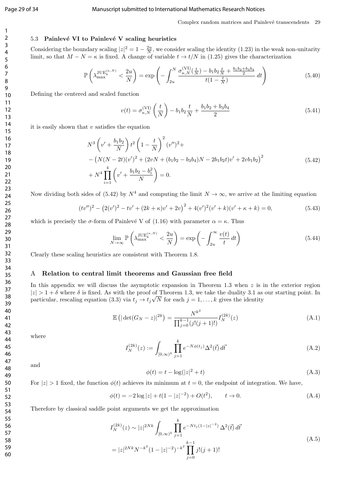#### Page 29 of 34 Manuscript submitted to International Mathematics Research Notices

### 5.3 Painlevé VI to Painlevé V scaling heuristics

Considering the boundary scaling  $|z|^2 = 1 - \frac{2u}{N}$ , we consider scaling the identity (1.23) in the weak non-unitarity limit, so that  $M - N = \kappa$  is fixed. A change of variable  $t \to t/N$  in (1.25) gives the characterization

$$
\mathbb{P}\left(\lambda_{\max}^{\text{JUE}_k^{(\kappa,N)}} < \frac{2u}{N}\right) = \exp\left(-\int_{2u}^N \frac{\sigma_{\kappa,N}^{(\text{VI})}\left(\frac{t}{N}\right) - b_1 b_2 \frac{t}{N} + \frac{b_1 b_2 + b_3 b_4}{2}}{t(1 - \frac{t}{N})} \, dt\right) \tag{5.40}
$$

Defining the centered and scaled function

$$
v(t) = \sigma_{\kappa,N}^{(\text{VI})} \left(\frac{t}{N}\right) - b_1 b_2 \frac{t}{N} + \frac{b_1 b_2 + b_3 b_4}{2} \tag{5.41}
$$

it is easily shown that  $v$  satisfies the equation

$$
N^{3} \left(v' + \frac{b_{1}b_{2}}{N}\right) t^{2} \left(1 - \frac{t}{N}\right)^{2} (v'')^{2} +
$$
  
 
$$
- \left(N(N - 2t)(v')^{2} + (2vN + (b_{1}b_{2} - b_{3}b_{4})N - 2b_{1}b_{2}t)v' + 2vb_{1}b_{2}\right)^{2}
$$
  
 
$$
+ N^{4} \prod_{i=1}^{4} \left(v' + \frac{b_{1}b_{2} - b_{i}^{2}}{N}\right) = 0.
$$
 (5.42)

Now dividing both sides of (5.42) by  $N^4$  and computing the limit  $N \to \infty$ , we arrive at the limiting equation

$$
(tv'')^{2} - (2(v')^{2} - tv' + (2k + \kappa)v' + 2v)^{2} + 4(v')^{2}(v' + k)(v' + \kappa + k) = 0,
$$
\n(5.43)

which is precisely the  $\sigma$ -form of Painlevé V of (1.16) with parameter  $\alpha = \kappa$ . Thus

$$
\lim_{N \to \infty} \mathbb{P}\left(\lambda_{\max}^{\text{JUE}_k^{(\kappa, N)}} < \frac{2u}{N}\right) = \exp\left(-\int_{2u}^{\infty} \frac{v(t)}{t} \, dt\right) \tag{5.44}
$$

Clearly these scaling heuristics are consistent with Theorem 1.8.

#### A Relation to central limit theorems and Gaussian free field

In this appendix we will discuss the asymptotic expansion in Theorem 1.3 when  $z$  is in the exterior region  $|z| > 1 + \delta$  where  $\delta$  is fixed. As with the proof of Theorem 1.3, we take the duality 3.1 as our starting point. In particular, rescaling equation (3.3) via  $t_j \to t_j \sqrt{N}$  for each  $j = 1, ..., k$  gives the identity

$$
\mathbb{E}\left(|\det(G_N - z)|^{2k}\right) = \frac{N^{k^2}}{\prod_{j=0}^{k-1} (j!(j+1)!)} I_N^{(2k)}(z)
$$
\n(A.1)

where

$$
I_N^{(2k)}(z) := \int_{[0,\infty)^k} \prod_{j=1}^k e^{-N\phi(t_j)} \Delta^2(\vec{t}) d\vec{t}
$$
 (A.2)

and

$$
\phi(t) = t - \log(|z|^2 + t) \tag{A.3}
$$

For  $|z| > 1$  fixed, the function  $\phi(t)$  achieves its minimum at  $t = 0$ , the endpoint of integration. We have,

$$
\phi(t) = -2\log|z| + t(1 - |z|^{-2}) + O(t^2), \qquad t \to 0.
$$
\n(A.4)

Therefore by classical saddle point arguments we get the approximation

$$
I_N^{(2k)}(z) \sim |z|^{2Nk} \int_{[0,\infty)^k} \prod_{j=1}^k e^{-Nt_j(1-|z|^{-2})} \Delta^2(\vec{t}) d\vec{t}
$$
  
=  $|z|^{2Nk} N^{-k^2} (1-|z|^{-2})^{-k^2} \prod_{j=0}^{k-1} j!(j+1)!$  (A.5)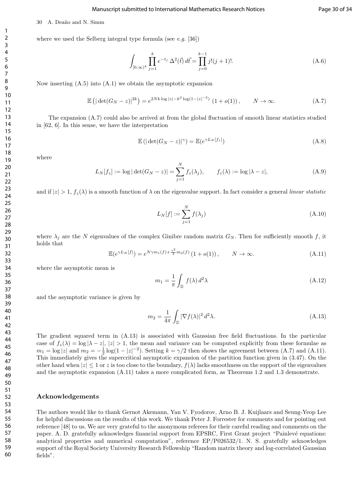#### Manuscript submitted to International Mathematics Research Notices Page 30 of 34

where we used the Selberg integral type formula (see  $e.g.$  [36])

30 A. Deaño and N. Simm

$$
\int_{[0,\infty)^k} \prod_{j=1}^k e^{-t_j} \Delta^2(\vec{t}) d\vec{t} = \prod_{j=0}^{k-1} j!(j+1)!.
$$
\n(A.6)

Now inserting (A.5) into (A.1) we obtain the asymptotic expansion

$$
\mathbb{E}\left(|\det(G_N - z)|^{2k}\right) = e^{2Nk\log|z| - k^2\log(1 - |z|^{-2})} \left(1 + o(1)\right), \qquad N \to \infty.
$$
 (A.7)

The expansion (A.7) could also be arrived at from the global fluctuation of smooth linear statistics studied in [62, 6]. In this sense, we have the interpretation

$$
\mathbb{E}\left(|\det(G_N - z)|^{\gamma}\right) = \mathbb{E}(e^{\gamma L_N[f_z]})\tag{A.8}
$$

where

$$
L_N[f_z] := \log |\det(G_N - z)| = \sum_{j=1}^N f_z(\lambda_j), \qquad f_z(\lambda) := \log |\lambda - z|,
$$
\n(A.9)

and if  $|z| > 1$ ,  $f_z(\lambda)$  is a smooth function of  $\lambda$  on the eigenvalue support. In fact consider a general linear statistic

$$
L_N[f] := \sum_{j=1}^N f(\lambda_j) \tag{A.10}
$$

where  $\lambda_j$  are the N eigenvalues of the complex Ginibre random matrix  $G_N$ . Then for sufficiently smooth f, it holds that

$$
\mathbb{E}(e^{\gamma L_N[f]}) = e^{N\gamma m_1(f) + \frac{\gamma^2}{2}m_2(f)} \left(1 + o(1)\right), \qquad N \to \infty.
$$
 (A.11)

where the asymptotic mean is

$$
m_1 = \frac{1}{\pi} \int_{\mathbb{D}} f(\lambda) d^2 \lambda \tag{A.12}
$$

and the asymptotic variance is given by

$$
m_2 = \frac{1}{4\pi} \int_{\mathbb{D}} |\nabla f(\lambda)|^2 d^2\lambda.
$$
 (A.13)

The gradient squared term in (A.13) is associated with Gaussian free field fluctuations. In the particular case of  $f_z(\lambda) = \log |\lambda - z|$ ,  $|z| > 1$ , the mean and variance can be computed explicitly from these formulae as  $m_1 = \log |z|$  and  $m_2 = -\frac{1}{2} \log(1 - |z|^{-2})$ . Setting  $k = \gamma/2$  then shows the agreement between (A.7) and (A.11). This immediately gives the supercritical asymptotic expansion of the partition function given in (3.47). On the other hand when  $|z| \leq 1$  or z is too close to the boundary,  $f(\lambda)$  lacks smoothness on the support of the eigenvalues and the asymptotic expansion (A.11) takes a more complicated form, as Theorems 1.2 and 1.3 demonstrate.

#### Acknowledgements

The authors would like to thank Gernot Akemann, Yan V. Fyodorov, Arno B. J. Kuijlaars and Seung-Yeop Lee for helpful discussions on the results of this work. We thank Peter J. Forrester for comments and for pointing out reference [48] to us. We are very grateful to the anonymous referees for their careful reading and comments on the paper. A. D. gratefully acknowledges financial support from EPSRC, First Grant project "Painlevé equations: analytical properties and numerical computation", reference EP/P026532/1. N. S. gratefully acknowledges support of the Royal Society University Research Fellowship "Random matrix theory and log-correlated Gaussian fields".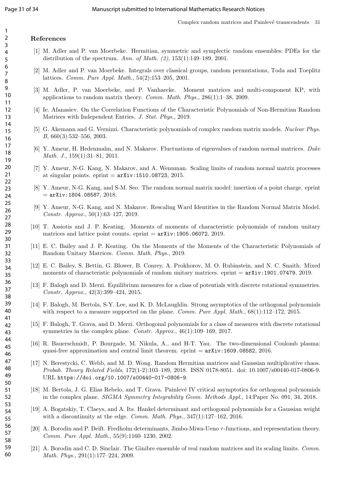#### References

- [1] M. Adler and P. van Moerbeke. Hermitian, symmetric and symplectic random ensembles: PDEs for the distribution of the spectrum. Ann. of Math.  $(2)$ , 153(1):149–189, 2001.
- [2] M. Adler and P. van Moerbeke. Integrals over classical groups, random permutations, Toda and Toeplitz lattices. Comm. Pure Appl. Math., 54(2):153–205, 2001.
- [3] M. Adler, P. van Moerbeke, and P. Vanhaecke. Moment matrices and multi-component KP, with applications to random matrix theory. Comm. Math. Phys., 286(1):1–38, 2009.
- [4] Ie. Afanasiev. On the Correlation Functions of the Characteristic Polynomials of Non-Hermitian Random Matrices with Independent Entries. J. Stat. Phys., 2019.
- [5] G. Akemann and G. Vernizzi. Characteristic polynomials of complex random matrix models. Nuclear Phys. B, 660(3):532–556, 2003.
- [6] Y. Ameur, H. Hedenmalm, and N. Makarov. Fluctuations of eigenvalues of random normal matrices. Duke Math. J., 159(1):31–81, 2011.
- [7] Y. Ameur, N-G. Kang, N. Makarov, and A. Wennman. Scaling limits of random normal matrix processes at singular points. eprint  $=$   $arXiv:1510.08723$ , 2015.
- [8] Y. Ameur, N-G. Kang, and S-M. Seo. The random normal matrix model: insertion of a point charge. eprint  $=$  arXiv:1804.08587, 2018.
- [9] Y. Ameur, N-G. Kang, and N. Makarov. Rescaling Ward Identities in the Random Normal Matrix Model. Constr. Approx., 50(1):63–127, 2019.
- [10] T. Assiotis and J. P. Keating. Moments of moments of characteristic polynomials of random unitary matrices and lattice point counts. eprint  $=$   $arXiv:1905.06072, 2019$ .
- [11] E. C. Bailey and J. P. Keating. On the Moments of the Moments of the Characteristic Polynomials of Random Unitary Matrices. Comm. Math. Phys., 2019.
- [12] E. C. Bailey, S. Bettin, G. Blower, B. Conrey, A. Prokhorov, M. O. Rubinstein, and N. C. Snaith. Mixed moments of characteristic polynomials of random unitary matrices. eprint  $=$   $arXiv:1901.07479, 2019.$
- [13] F. Balogh and D. Merzi. Equilibrium measures for a class of potentials with discrete rotational symmetries. Constr. Approx., 42(3):399–424, 2015.
- [14] F. Balogh, M. Bertola, S-Y. Lee, and K. D. McLaughlin. Strong asymptotics of the orthogonal polynomials with respect to a measure supported on the plane. *Comm. Pure Appl. Math.*,  $68(1):112-172$ , 2015.
- [15] F. Balogh, T. Grava, and D. Merzi. Orthogonal polynomials for a class of measures with discrete rotational symmetries in the complex plane. Constr. Approx., 46(1):109–169, 2017.
- [16] R. Bauerschmidt, P. Bourgade, M. Nikula, A., and H-T. Yau. The two-dimensional Coulomb plasma: quasi-free approximation and central limit theorem.  $\text{eprint} = \text{arXiv:1609.08582}, 2016.$
- [17] N. Berestycki, C. Webb, and M. D. Wong. Random Hermitian matrices and Gaussian multiplicative chaos. Probab. Theory Related Fields, 172(1-2):103–189, 2018. ISSN 0178-8051. doi: 10.1007/s00440-017-0806-9. URL https://doi.org/10.1007/s00440-017-0806-9.
- [18] M. Bertola, J. G. Elias Rebelo, and T. Grava. Painlevé IV critical asymptotics for orthogonal polynomials in the complex plane. SIGMA Symmetry Integrability Geom. Methods Appl., 14:Paper No. 091, 34, 2018.
- [19] A. Bogatskiy, T. Claeys, and A. Its. Hankel determinant and orthogonal polynomials for a Gaussian weight with a discontinuity at the edge. Comm. Math. Phys.,  $347(1):127-162$ ,  $2016$ .
- [20] A. Borodin and P. Deift. Fredholm determinants, Jimbo-Miwa-Ueno τ -functions, and representation theory. Comm. Pure Appl. Math., 55(9):1160–1230, 2002.
- [21] A. Borodin and C. D. Sinclair. The Ginibre ensemble of real random matrices and its scaling limits. Comm. Math. Phys., 291(1):177–224, 2009.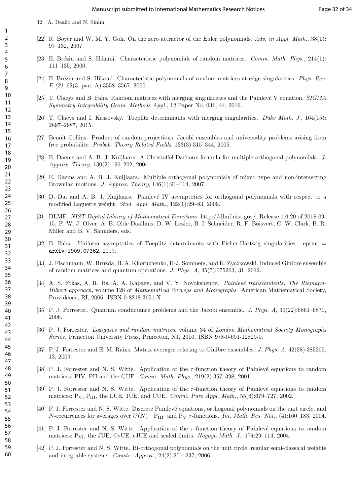- [22] R. Boyer and W. M. Y. Goh. On the zero attractor of the Euler polynomials. Adv. in Appl. Math., 38(1): 97–132, 2007.
- [23] E. Brézin and S. Hikami. Characteristic polynomials of random matrices. *Comm. Math. Phys.*, 214(1): 111–135, 2000.
- [24] E. Brézin and S. Hikami. Characteristic polynomials of random matrices at edge singularities. Phys. Rev.  $E(3)$ , 62(3, part A):3558-3567, 2000.
- [25] T. Claeys and B. Fahs. Random matrices with merging singularities and the Painlevé V equation. SIGMA Symmetry Integrability Geom. Methods Appl., 12:Paper No. 031, 44, 2016.
- [26] T. Claeys and I. Krasovsky. Toeplitz determinants with merging singularities. Duke Math. J., 164(15): 2897–2987, 2015.
- [27] Benoît Collins. Product of random projections, Jacobi ensembles and universality problems arising from free probability. Probab. Theory Related Fields, 133(3):315–344, 2005.
- [28] E. Daems and A. B. J. Kuijlaars. A Christoffel-Darboux formula for multiple orthogonal polynomials. J. Approx. Theory, 130(2):190–202, 2004.
- [29] E. Daems and A. B. J. Kuijlaars. Multiple orthogonal polynomials of mixed type and non-intersecting Brownian motions. J. Approx. Theory, 146(1):91–114, 2007.
- [30] D. Dai and A. B. J. Kuijlaars. Painlevé IV asymptotics for orthogonal polynomials with respect to a modified Laguerre weight. Stud. Appl. Math., 122(1):29–83, 2009.
- [31] DLMF. NIST Digital Library of Mathematical Functions. http://dlmf.nist.gov/, Release 1.0.20 of 2018-09- 15. F. W. J. Olver, A. B. Olde Daalhuis, D. W. Lozier, B. I. Schneider, R. F. Boisvert, C. W. Clark, B. R. Miller and B. V. Saunders, eds.
- [32] B. Fahs. Uniform asymptotics of Toeplitz determinants with Fisher-Hartwig singularities. eprint = arXiv:1909.07362, 2019.
- [33] J. Fischmann, W. Bruzda, B. A. Khoruzhenko, H-J. Sommers, and K. Życzkowski. Induced Ginibre ensemble of random matrices and quantum operations. J. Phys. A, 45(7):075203, 31, 2012.
- [34] A. S. Fokas, A. R. Its, A. A. Kapaev, and V. Y. Novokshenov. *Painlevé transcendents. The Riemann*-Hilbert approach, volume 128 of Mathematical Surveys and Monographs. American Mathematical Society, Providence, RI, 2006. ISBN 0-8218-3651-X.
- [35] P. J. Forrester. Quantum conductance problems and the Jacobi ensemble. J. Phys. A, 39(22):6861–6870, 2006.
- [36] P. J. Forrester. Log-gases and random matrices, volume 34 of London Mathematical Society Monographs Series. Princeton University Press, Princeton, NJ, 2010. ISBN 978-0-691-12829-0.
- [37] P. J. Forrester and E. M. Rains. Matrix averages relating to Ginibre ensembles. J. Phys. A, 42(38):385205, 13, 2009.
- [38] P. J. Forrester and N. S. Witte. Application of the  $\tau$ -function theory of Painlevé equations to random matrices: PIV, PII and the GUE. Comm. Math. Phys., 219(2):357–398, 2001.
- [39] P. J. Forrester and N. S. Witte. Application of the  $\tau$ -function theory of Painlevé equations to random matrices:  $P_V$ ,  $P_{III}$ , the LUE, JUE, and CUE. *Comm. Pure Appl. Math.*, 55(6):679–727, 2002.
- [40] P. J. Forrester and N. S. Witte. Discrete Painlevé equations, orthogonal polynomials on the unit circle, and N-recurrences for averages over  $U(N)$ — $P_{III'}$  and  $P_V$   $\tau$ -functions. Int. Math. Res. Not., (4):160–183, 2004.
- [41] P. J. Forrester and N. S. Witte. Application of the  $\tau$ -function theory of Painlevé equations to random matrices:  $P_{VI}$ , the JUE, CyUE, cJUE and scaled limits. Nagoya Math. J., 174:29–114, 2004.
- [42] P. J. Forrester and N. S. Witte. Bi-orthogonal polynomials on the unit circle, regular semi-classical weights and integrable systems. Constr. Approx., 24(2):201–237, 2006.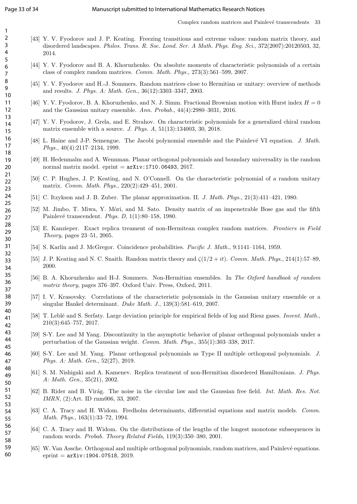- [43] Y. V. Fyodorov and J. P. Keating. Freezing transitions and extreme values: random matrix theory, and disordered landscapes. Philos. Trans. R. Soc. Lond. Ser. A Math. Phys. Eng. Sci., 372(2007):20120503, 32, 2014.
	- [44] Y. V. Fyodorov and B. A. Khoruzhenko. On absolute moments of characteristic polynomials of a certain class of complex random matrices. Comm. Math. Phys., 273(3):561–599, 2007.
	- [45] Y. V. Fyodorov and H.-J. Sommers. Random matrices close to Hermitian or unitary: overview of methods and results. J. Phys. A: Math. Gen., 36(12):3303–3347, 2003.
	- [46] Y. V. Fyodorov, B. A. Khoruzhenko, and N. J. Simm. Fractional Brownian motion with Hurst index  $H = 0$ and the Gaussian unitary ensemble. Ann. Probab., 44(4):2980–3031, 2016.
	- [47] Y. V. Fyodorov, J. Grela, and E. Strahov. On characteristic polynomials for a generalized chiral random matrix ensemble with a source. J. Phys. A, 51(13):134003, 30, 2018.
	- [48] L. Haine and J-P. Semengue. The Jacobi polynomial ensemble and the Painlevé VI equation. J. Math. Phys., 40(4):2117–2134, 1999.
	- [49] H. Hedenmalm and A. Wennman. Planar orthogonal polynomials and boundary universality in the random normal matrix model.  $eprint = arXiv:1710.06493, 2017.$
	- [50] C. P. Hughes, J. P. Keating, and N. O'Connell. On the characteristic polynomial of a random unitary matrix. Comm. Math. Phys., 220(2):429–451, 2001.
- [51] C. Itzykson and J. B. Zuber. The planar approximation. II. J. Math. Phys., 21(3):411–421, 1980.
- [52] M. Jimbo, T. Miwa, Y. Môri, and M. Sato. Density matrix of an impenetrable Bose gas and the fifth Painlevé transcendent. Phys. D,  $1(1):80-158$ , 1980.
- [53] E. Kanzieper. Exact replica treament of non-Hermitean complex random matrices. Frontiers in Field Theory, pages 23–51, 2005.
- [54] S. Karlin and J. McGregor. Coincidence probabilities. Pacific J. Math., 9:1141–1164, 1959.
- [55] J. P. Keating and N. C. Snaith. Random matrix theory and  $\zeta(1/2 + it)$ . Comm. Math. Phys., 214(1):57–89, 2000.
- [56] B. A. Khoruzhenko and H-J. Sommers. Non-Hermitian ensembles. In The Oxford handbook of random matrix theory, pages 376–397. Oxford Univ. Press, Oxford, 2011.
- [57] I. V. Krasovsky. Correlations of the characteristic polynomials in the Gaussian unitary ensemble or a singular Hankel determinant. Duke Math. J., 139(3):581–619, 2007.
- [58] T. Leblé and S. Serfaty. Large deviation principle for empirical fields of log and Riesz gases. *Invent. Math.*, 210(3):645–757, 2017.
- [59] S-Y. Lee and M Yang. Discontinuity in the asymptotic behavior of planar orthogonal polynomials under a perturbation of the Gaussian weight. Comm. Math. Phys., 355(1):303–338, 2017.
- [60] S-Y. Lee and M. Yang. Planar orthogonal polynomials as Type II multiple orthogonal polynomials. J. Phys. A: Math. Gen., 52(27), 2019.
- [61] S. M. Nishigaki and A. Kamenev. Replica treatment of non-Hermitian disordered Hamiltonians. J. Phys. A: Math. Gen., 35(21), 2002.
- [62] B. Rider and B. Virág. The noise in the circular law and the Gaussian free field. Int. Math. Res. Not. IMRN, (2):Art. ID rnm006, 33, 2007.
- [63] C. A. Tracy and H. Widom. Fredholm determinants, differential equations and matrix models. Comm. Math. Phys., 163(1):33–72, 1994.
- [64] C. A. Tracy and H. Widom. On the distributions of the lengths of the longest monotone subsequences in random words. Probab. Theory Related Fields, 119(3):350–380, 2001.
- [65] W. Van Assche. Orthogonal and multiple orthogonal polynomials, random matrices, and Painlevé equations.  $eprint = arXiv:1904.07518, 2019.$